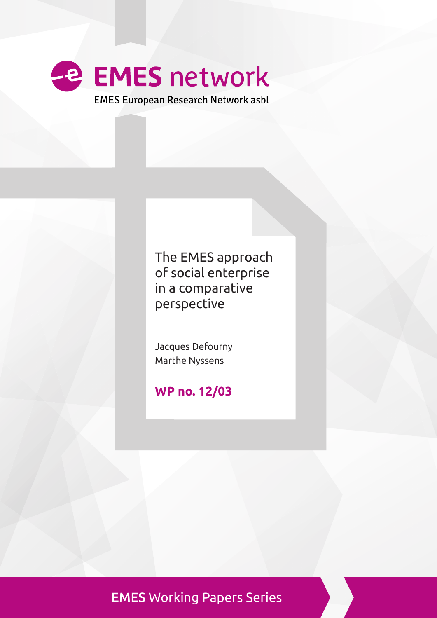

The EMES approach of social enterprise in a comparative perspective

Jacques Defourny Marthe Nyssens

**WP no. 12/03**

EMES Working Papers Series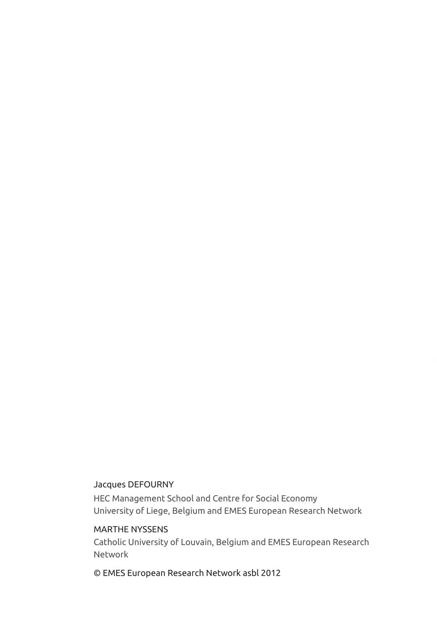## Jacques DEFOURNY

HEC Management School and Centre for Social Economy University of Liege, Belgium and EMES European Research Network

## MARTHE NYSSENS

Catholic University of Louvain, Belgium and EMES European Research Network

© EMES European Research Network asbl 2012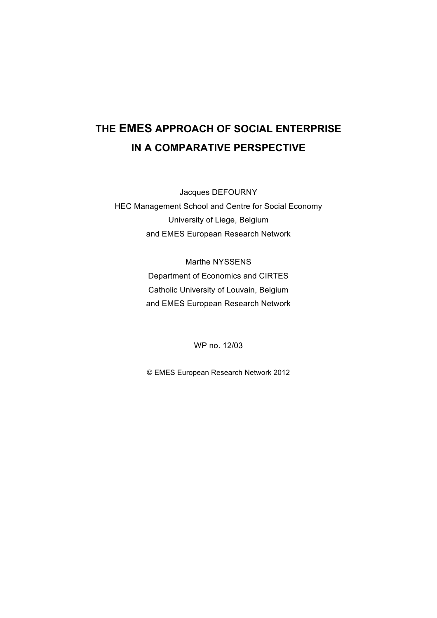# **THE EMES APPROACH OF SOCIAL ENTERPRISE IN A COMPARATIVE PERSPECTIVE**

Jacques DEFOURNY HEC Management School and Centre for Social Economy University of Liege, Belgium and EMES European Research Network

> Marthe NYSSENS Department of Economics and CIRTES Catholic University of Louvain, Belgium and EMES European Research Network

> > WP no. 12/03

© EMES European Research Network 2012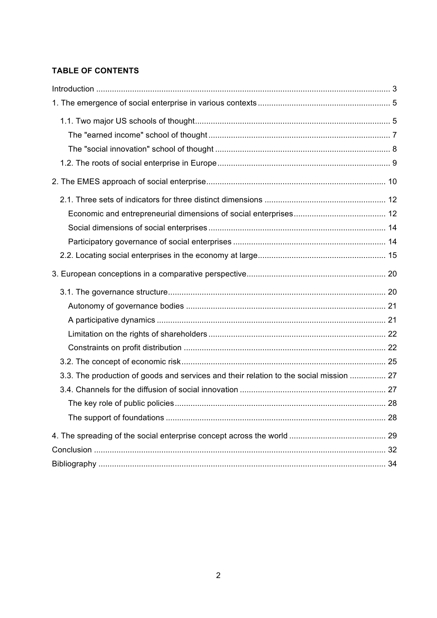# **TABLE OF CONTENTS**

| 3.3. The production of goods and services and their relation to the social mission  27 |  |
|----------------------------------------------------------------------------------------|--|
|                                                                                        |  |
|                                                                                        |  |
|                                                                                        |  |
|                                                                                        |  |
|                                                                                        |  |
|                                                                                        |  |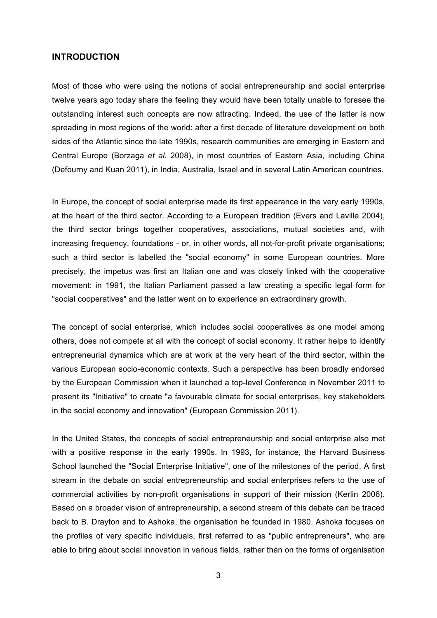#### **INTRODUCTION**

Most of those who were using the notions of social entrepreneurship and social enterprise twelve years ago today share the feeling they would have been totally unable to foresee the outstanding interest such concepts are now attracting. Indeed, the use of the latter is now spreading in most regions of the world: after a first decade of literature development on both sides of the Atlantic since the late 1990s, research communities are emerging in Eastern and Central Europe (Borzaga *et al.* 2008), in most countries of Eastern Asia, including China (Defourny and Kuan 2011), in India, Australia, Israel and in several Latin American countries.

In Europe, the concept of social enterprise made its first appearance in the very early 1990s, at the heart of the third sector. According to a European tradition (Evers and Laville 2004), the third sector brings together cooperatives, associations, mutual societies and, with increasing frequency, foundations - or, in other words, all not-for-profit private organisations; such a third sector is labelled the "social economy" in some European countries. More precisely, the impetus was first an Italian one and was closely linked with the cooperative movement: in 1991, the Italian Parliament passed a law creating a specific legal form for "social cooperatives" and the latter went on to experience an extraordinary growth.

The concept of social enterprise, which includes social cooperatives as one model among others, does not compete at all with the concept of social economy. It rather helps to identify entrepreneurial dynamics which are at work at the very heart of the third sector, within the various European socio-economic contexts. Such a perspective has been broadly endorsed by the European Commission when it launched a top-level Conference in November 2011 to present its "Initiative" to create "a favourable climate for social enterprises, key stakeholders in the social economy and innovation" (European Commission 2011).

In the United States, the concepts of social entrepreneurship and social enterprise also met with a positive response in the early 1990s. In 1993, for instance, the Harvard Business School launched the "Social Enterprise Initiative", one of the milestones of the period. A first stream in the debate on social entrepreneurship and social enterprises refers to the use of commercial activities by non-profit organisations in support of their mission (Kerlin 2006). Based on a broader vision of entrepreneurship, a second stream of this debate can be traced back to B. Drayton and to Ashoka, the organisation he founded in 1980. Ashoka focuses on the profiles of very specific individuals, first referred to as "public entrepreneurs", who are able to bring about social innovation in various fields, rather than on the forms of organisation

3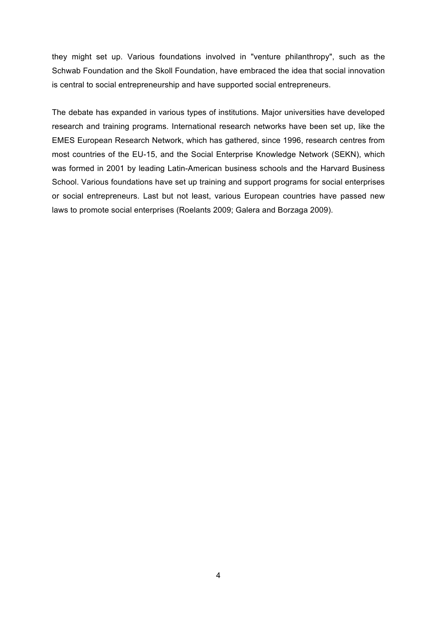they might set up. Various foundations involved in "venture philanthropy", such as the Schwab Foundation and the Skoll Foundation, have embraced the idea that social innovation is central to social entrepreneurship and have supported social entrepreneurs.

The debate has expanded in various types of institutions. Major universities have developed research and training programs. International research networks have been set up, like the EMES European Research Network, which has gathered, since 1996, research centres from most countries of the EU-15, and the Social Enterprise Knowledge Network (SEKN), which was formed in 2001 by leading Latin-American business schools and the Harvard Business School. Various foundations have set up training and support programs for social enterprises or social entrepreneurs. Last but not least, various European countries have passed new laws to promote social enterprises (Roelants 2009; Galera and Borzaga 2009).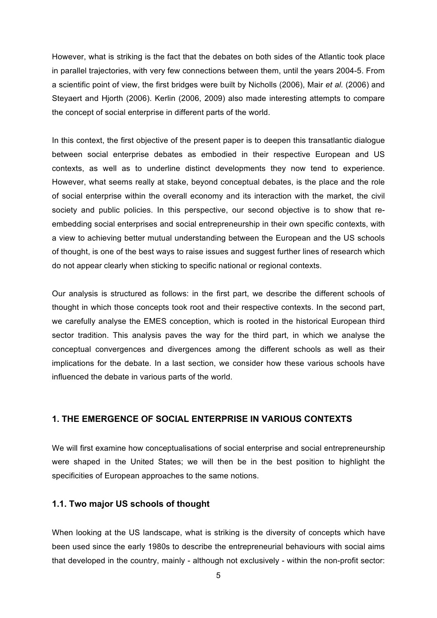However, what is striking is the fact that the debates on both sides of the Atlantic took place in parallel trajectories, with very few connections between them, until the years 2004-5. From a scientific point of view, the first bridges were built by Nicholls (2006), Mair *et al.* (2006) and Steyaert and Hjorth (2006). Kerlin (2006, 2009) also made interesting attempts to compare the concept of social enterprise in different parts of the world.

In this context, the first objective of the present paper is to deepen this transatlantic dialogue between social enterprise debates as embodied in their respective European and US contexts, as well as to underline distinct developments they now tend to experience. However, what seems really at stake, beyond conceptual debates, is the place and the role of social enterprise within the overall economy and its interaction with the market, the civil society and public policies. In this perspective, our second objective is to show that reembedding social enterprises and social entrepreneurship in their own specific contexts, with a view to achieving better mutual understanding between the European and the US schools of thought, is one of the best ways to raise issues and suggest further lines of research which do not appear clearly when sticking to specific national or regional contexts.

Our analysis is structured as follows: in the first part, we describe the different schools of thought in which those concepts took root and their respective contexts. In the second part, we carefully analyse the EMES conception, which is rooted in the historical European third sector tradition. This analysis paves the way for the third part, in which we analyse the conceptual convergences and divergences among the different schools as well as their implications for the debate. In a last section, we consider how these various schools have influenced the debate in various parts of the world.

## **1. THE EMERGENCE OF SOCIAL ENTERPRISE IN VARIOUS CONTEXTS**

We will first examine how conceptualisations of social enterprise and social entrepreneurship were shaped in the United States; we will then be in the best position to highlight the specificities of European approaches to the same notions.

#### **1.1. Two major US schools of thought**

When looking at the US landscape, what is striking is the diversity of concepts which have been used since the early 1980s to describe the entrepreneurial behaviours with social aims that developed in the country, mainly - although not exclusively - within the non-profit sector: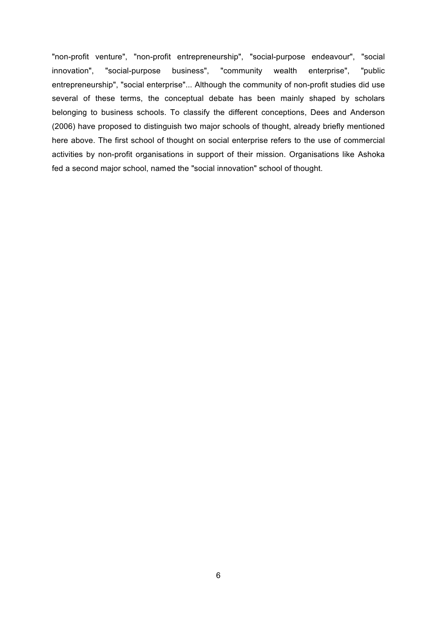"non-profit venture", "non-profit entrepreneurship", "social-purpose endeavour", "social innovation", "social-purpose business", "community wealth enterprise", "public entrepreneurship", "social enterprise"... Although the community of non-profit studies did use several of these terms, the conceptual debate has been mainly shaped by scholars belonging to business schools. To classify the different conceptions, Dees and Anderson (2006) have proposed to distinguish two major schools of thought, already briefly mentioned here above. The first school of thought on social enterprise refers to the use of commercial activities by non-profit organisations in support of their mission. Organisations like Ashoka fed a second major school, named the "social innovation" school of thought.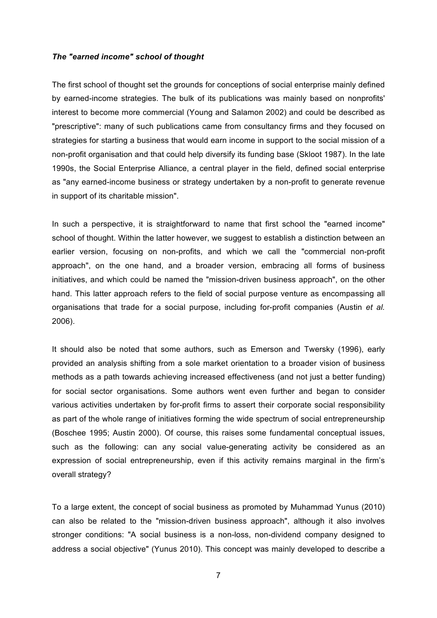#### *The "earned income" school of thought*

The first school of thought set the grounds for conceptions of social enterprise mainly defined by earned-income strategies. The bulk of its publications was mainly based on nonprofits' interest to become more commercial (Young and Salamon 2002) and could be described as "prescriptive": many of such publications came from consultancy firms and they focused on strategies for starting a business that would earn income in support to the social mission of a non-profit organisation and that could help diversify its funding base (Skloot 1987). In the late 1990s, the Social Enterprise Alliance, a central player in the field, defined social enterprise as "any earned-income business or strategy undertaken by a non-profit to generate revenue in support of its charitable mission".

In such a perspective, it is straightforward to name that first school the "earned income" school of thought. Within the latter however, we suggest to establish a distinction between an earlier version, focusing on non-profits, and which we call the "commercial non-profit approach", on the one hand, and a broader version, embracing all forms of business initiatives, and which could be named the "mission-driven business approach", on the other hand. This latter approach refers to the field of social purpose venture as encompassing all organisations that trade for a social purpose, including for-profit companies (Austin *et al.*  2006).

It should also be noted that some authors, such as Emerson and Twersky (1996), early provided an analysis shifting from a sole market orientation to a broader vision of business methods as a path towards achieving increased effectiveness (and not just a better funding) for social sector organisations. Some authors went even further and began to consider various activities undertaken by for-profit firms to assert their corporate social responsibility as part of the whole range of initiatives forming the wide spectrum of social entrepreneurship (Boschee 1995; Austin 2000). Of course, this raises some fundamental conceptual issues, such as the following: can any social value-generating activity be considered as an expression of social entrepreneurship, even if this activity remains marginal in the firm's overall strategy?

To a large extent, the concept of social business as promoted by Muhammad Yunus (2010) can also be related to the "mission-driven business approach", although it also involves stronger conditions: "A social business is a non-loss, non-dividend company designed to address a social objective" (Yunus 2010). This concept was mainly developed to describe a

7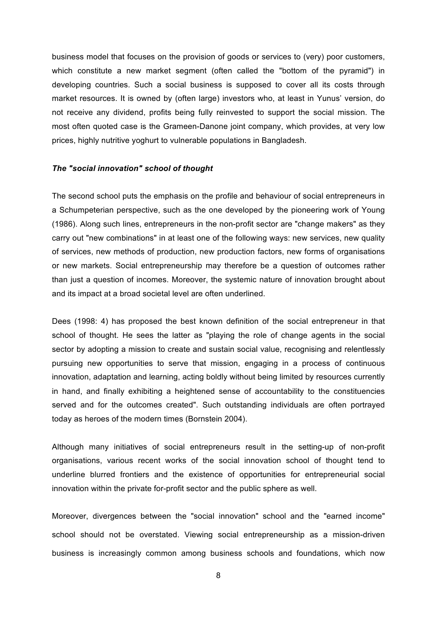business model that focuses on the provision of goods or services to (very) poor customers, which constitute a new market segment (often called the "bottom of the pyramid") in developing countries. Such a social business is supposed to cover all its costs through market resources. It is owned by (often large) investors who, at least in Yunus' version, do not receive any dividend, profits being fully reinvested to support the social mission. The most often quoted case is the Grameen-Danone joint company, which provides, at very low prices, highly nutritive yoghurt to vulnerable populations in Bangladesh.

#### *The "social innovation" school of thought*

The second school puts the emphasis on the profile and behaviour of social entrepreneurs in a Schumpeterian perspective, such as the one developed by the pioneering work of Young (1986). Along such lines, entrepreneurs in the non-profit sector are "change makers" as they carry out "new combinations" in at least one of the following ways: new services, new quality of services, new methods of production, new production factors, new forms of organisations or new markets. Social entrepreneurship may therefore be a question of outcomes rather than just a question of incomes. Moreover, the systemic nature of innovation brought about and its impact at a broad societal level are often underlined.

Dees (1998: 4) has proposed the best known definition of the social entrepreneur in that school of thought. He sees the latter as "playing the role of change agents in the social sector by adopting a mission to create and sustain social value, recognising and relentlessly pursuing new opportunities to serve that mission, engaging in a process of continuous innovation, adaptation and learning, acting boldly without being limited by resources currently in hand, and finally exhibiting a heightened sense of accountability to the constituencies served and for the outcomes created". Such outstanding individuals are often portrayed today as heroes of the modern times (Bornstein 2004).

Although many initiatives of social entrepreneurs result in the setting-up of non-profit organisations, various recent works of the social innovation school of thought tend to underline blurred frontiers and the existence of opportunities for entrepreneurial social innovation within the private for-profit sector and the public sphere as well.

Moreover, divergences between the "social innovation" school and the "earned income" school should not be overstated. Viewing social entrepreneurship as a mission-driven business is increasingly common among business schools and foundations, which now

8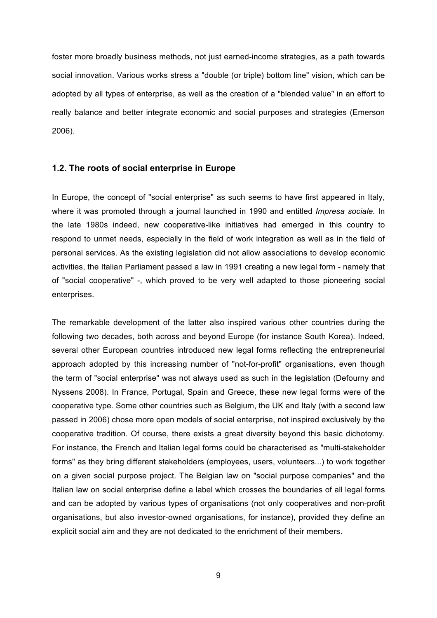foster more broadly business methods, not just earned-income strategies, as a path towards social innovation. Various works stress a "double (or triple) bottom line" vision, which can be adopted by all types of enterprise, as well as the creation of a "blended value" in an effort to really balance and better integrate economic and social purposes and strategies (Emerson 2006).

#### **1.2. The roots of social enterprise in Europe**

In Europe, the concept of "social enterprise" as such seems to have first appeared in Italy, where it was promoted through a journal launched in 1990 and entitled *Impresa sociale.* In the late 1980s indeed, new cooperative-like initiatives had emerged in this country to respond to unmet needs, especially in the field of work integration as well as in the field of personal services. As the existing legislation did not allow associations to develop economic activities, the Italian Parliament passed a law in 1991 creating a new legal form - namely that of "social cooperative" -, which proved to be very well adapted to those pioneering social enterprises.

The remarkable development of the latter also inspired various other countries during the following two decades, both across and beyond Europe (for instance South Korea). Indeed, several other European countries introduced new legal forms reflecting the entrepreneurial approach adopted by this increasing number of "not-for-profit" organisations, even though the term of "social enterprise" was not always used as such in the legislation (Defourny and Nyssens 2008). In France, Portugal, Spain and Greece, these new legal forms were of the cooperative type. Some other countries such as Belgium, the UK and Italy (with a second law passed in 2006) chose more open models of social enterprise, not inspired exclusively by the cooperative tradition. Of course, there exists a great diversity beyond this basic dichotomy. For instance, the French and Italian legal forms could be characterised as "multi-stakeholder forms" as they bring different stakeholders (employees, users, volunteers...) to work together on a given social purpose project. The Belgian law on "social purpose companies" and the Italian law on social enterprise define a label which crosses the boundaries of all legal forms and can be adopted by various types of organisations (not only cooperatives and non-profit organisations, but also investor-owned organisations, for instance), provided they define an explicit social aim and they are not dedicated to the enrichment of their members.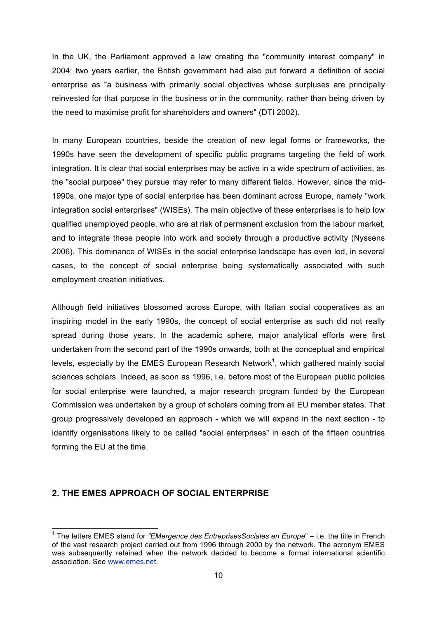In the UK, the Parliament approved a law creating the "community interest company" in 2004; two years earlier, the British government had also put forward a definition of social enterprise as "a business with primarily social objectives whose surpluses are principally reinvested for that purpose in the business or in the community, rather than being driven by the need to maximise profit for shareholders and owners" (DTI 2002).

In many European countries, beside the creation of new legal forms or frameworks, the 1990s have seen the development of specific public programs targeting the field of work integration. It is clear that social enterprises may be active in a wide spectrum of activities, as the "social purpose" they pursue may refer to many different fields. However, since the mid-1990s, one major type of social enterprise has been dominant across Europe, namely "work integration social enterprises" (WISEs). The main objective of these enterprises is to help low qualified unemployed people, who are at risk of permanent exclusion from the labour market, and to integrate these people into work and society through a productive activity (Nyssens 2006). This dominance of WISEs in the social enterprise landscape has even led, in several cases, to the concept of social enterprise being systematically associated with such employment creation initiatives.

Although field initiatives blossomed across Europe, with Italian social cooperatives as an inspiring model in the early 1990s, the concept of social enterprise as such did not really spread during those years. In the academic sphere, major analytical efforts were first undertaken from the second part of the 1990s onwards, both at the conceptual and empirical levels, especially by the EMES European Research Network<sup>1</sup>, which gathered mainly social sciences scholars. Indeed, as soon as 1996, i.e. before most of the European public policies for social enterprise were launched, a major research program funded by the European Commission was undertaken by a group of scholars coming from all EU member states. That group progressively developed an approach - which we will expand in the next section - to identify organisations likely to be called "social enterprises" in each of the fifteen countries forming the EU at the time.

## **2. THE EMES APPROACH OF SOCIAL ENTERPRISE**

 <sup>1</sup> The letters EMES stand for *"EMergence des EntreprisesSociales en Europe*" – i.e. the title in French of the vast research project carried out from 1996 through 2000 by the network. The acronym EMES was subsequently retained when the network decided to become a formal international scientific association. See www.emes.net.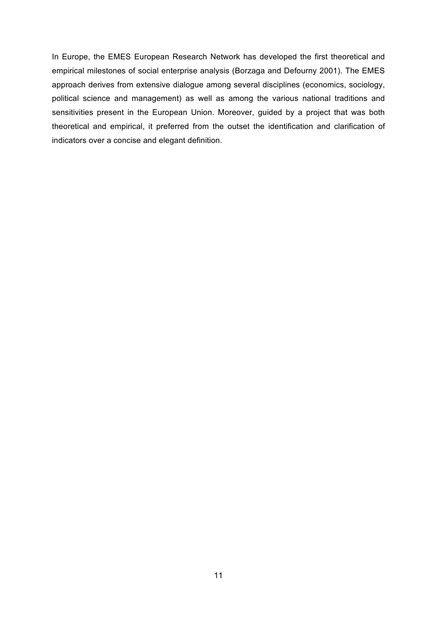In Europe, the EMES European Research Network has developed the first theoretical and empirical milestones of social enterprise analysis (Borzaga and Defourny 2001). The EMES approach derives from extensive dialogue among several disciplines (economics, sociology, political science and management) as well as among the various national traditions and sensitivities present in the European Union. Moreover, guided by a project that was both theoretical and empirical, it preferred from the outset the identification and clarification of indicators over a concise and elegant definition.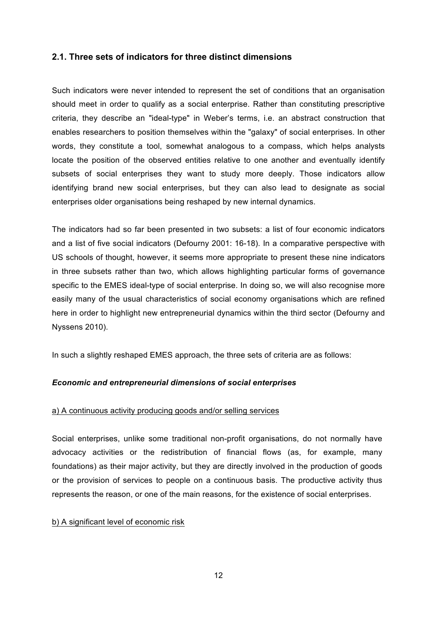## **2.1. Three sets of indicators for three distinct dimensions**

Such indicators were never intended to represent the set of conditions that an organisation should meet in order to qualify as a social enterprise. Rather than constituting prescriptive criteria, they describe an "ideal-type" in Weber's terms, i.e. an abstract construction that enables researchers to position themselves within the "galaxy" of social enterprises. In other words, they constitute a tool, somewhat analogous to a compass, which helps analysts locate the position of the observed entities relative to one another and eventually identify subsets of social enterprises they want to study more deeply. Those indicators allow identifying brand new social enterprises, but they can also lead to designate as social enterprises older organisations being reshaped by new internal dynamics.

The indicators had so far been presented in two subsets: a list of four economic indicators and a list of five social indicators (Defourny 2001: 16-18). In a comparative perspective with US schools of thought, however, it seems more appropriate to present these nine indicators in three subsets rather than two, which allows highlighting particular forms of governance specific to the EMES ideal-type of social enterprise. In doing so, we will also recognise more easily many of the usual characteristics of social economy organisations which are refined here in order to highlight new entrepreneurial dynamics within the third sector (Defourny and Nyssens 2010).

In such a slightly reshaped EMES approach, the three sets of criteria are as follows:

## *Economic and entrepreneurial dimensions of social enterprises*

#### a) A continuous activity producing goods and/or selling services

Social enterprises, unlike some traditional non-profit organisations, do not normally have advocacy activities or the redistribution of financial flows (as, for example, many foundations) as their major activity, but they are directly involved in the production of goods or the provision of services to people on a continuous basis. The productive activity thus represents the reason, or one of the main reasons, for the existence of social enterprises.

#### b) A significant level of economic risk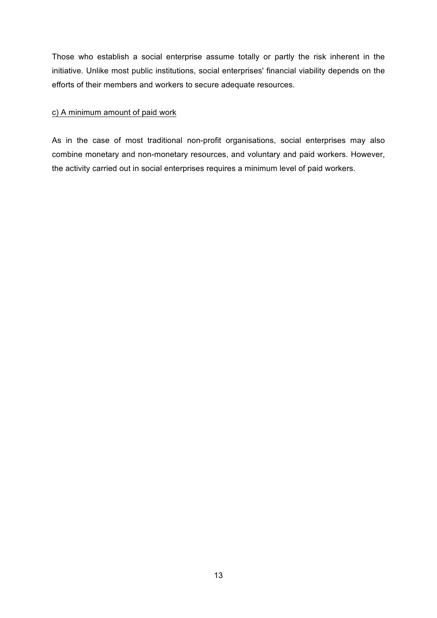Those who establish a social enterprise assume totally or partly the risk inherent in the initiative. Unlike most public institutions, social enterprises' financial viability depends on the efforts of their members and workers to secure adequate resources.

## c) A minimum amount of paid work

As in the case of most traditional non-profit organisations, social enterprises may also combine monetary and non-monetary resources, and voluntary and paid workers. However, the activity carried out in social enterprises requires a minimum level of paid workers.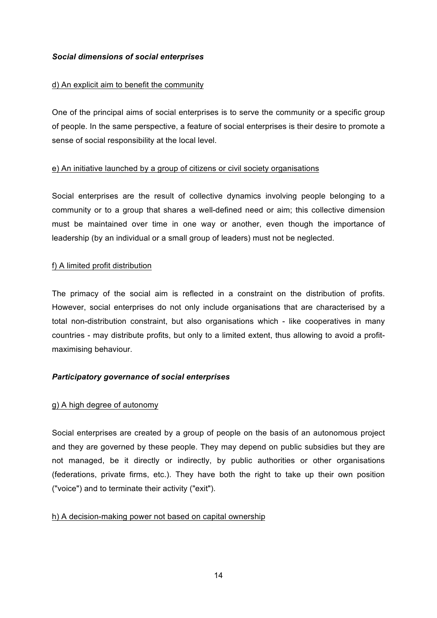## *Social dimensions of social enterprises*

## d) An explicit aim to benefit the community

One of the principal aims of social enterprises is to serve the community or a specific group of people. In the same perspective, a feature of social enterprises is their desire to promote a sense of social responsibility at the local level.

## e) An initiative launched by a group of citizens or civil society organisations

Social enterprises are the result of collective dynamics involving people belonging to a community or to a group that shares a well-defined need or aim; this collective dimension must be maintained over time in one way or another, even though the importance of leadership (by an individual or a small group of leaders) must not be neglected.

## f) A limited profit distribution

The primacy of the social aim is reflected in a constraint on the distribution of profits. However, social enterprises do not only include organisations that are characterised by a total non-distribution constraint, but also organisations which - like cooperatives in many countries - may distribute profits, but only to a limited extent, thus allowing to avoid a profitmaximising behaviour.

## *Participatory governance of social enterprises*

## g) A high degree of autonomy

Social enterprises are created by a group of people on the basis of an autonomous project and they are governed by these people. They may depend on public subsidies but they are not managed, be it directly or indirectly, by public authorities or other organisations (federations, private firms, etc.). They have both the right to take up their own position ("voice") and to terminate their activity ("exit").

## h) A decision-making power not based on capital ownership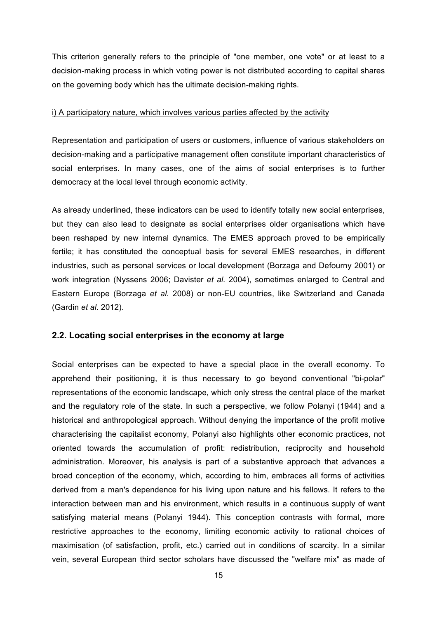This criterion generally refers to the principle of "one member, one vote" or at least to a decision-making process in which voting power is not distributed according to capital shares on the governing body which has the ultimate decision-making rights.

#### i) A participatory nature, which involves various parties affected by the activity

Representation and participation of users or customers, influence of various stakeholders on decision-making and a participative management often constitute important characteristics of social enterprises. In many cases, one of the aims of social enterprises is to further democracy at the local level through economic activity.

As already underlined, these indicators can be used to identify totally new social enterprises, but they can also lead to designate as social enterprises older organisations which have been reshaped by new internal dynamics. The EMES approach proved to be empirically fertile; it has constituted the conceptual basis for several EMES researches, in different industries, such as personal services or local development (Borzaga and Defourny 2001) or work integration (Nyssens 2006; Davister *et al.* 2004), sometimes enlarged to Central and Eastern Europe (Borzaga *et al.* 2008) or non-EU countries, like Switzerland and Canada (Gardin *et al*. 2012).

## **2.2. Locating social enterprises in the economy at large**

Social enterprises can be expected to have a special place in the overall economy. To apprehend their positioning, it is thus necessary to go beyond conventional "bi-polar" representations of the economic landscape, which only stress the central place of the market and the regulatory role of the state. In such a perspective, we follow Polanyi (1944) and a historical and anthropological approach. Without denying the importance of the profit motive characterising the capitalist economy, Polanyi also highlights other economic practices, not oriented towards the accumulation of profit: redistribution, reciprocity and household administration. Moreover, his analysis is part of a substantive approach that advances a broad conception of the economy, which, according to him, embraces all forms of activities derived from a man's dependence for his living upon nature and his fellows. It refers to the interaction between man and his environment, which results in a continuous supply of want satisfying material means (Polanyi 1944). This conception contrasts with formal, more restrictive approaches to the economy, limiting economic activity to rational choices of maximisation (of satisfaction, profit, etc.) carried out in conditions of scarcity. In a similar vein, several European third sector scholars have discussed the "welfare mix" as made of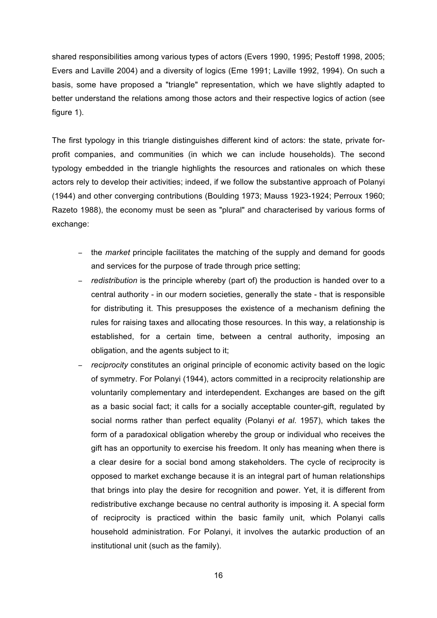shared responsibilities among various types of actors (Evers 1990, 1995; Pestoff 1998, 2005; Evers and Laville 2004) and a diversity of logics (Eme 1991; Laville 1992, 1994). On such a basis, some have proposed a "triangle" representation, which we have slightly adapted to better understand the relations among those actors and their respective logics of action (see figure 1).

The first typology in this triangle distinguishes different kind of actors: the state, private forprofit companies, and communities (in which we can include households). The second typology embedded in the triangle highlights the resources and rationales on which these actors rely to develop their activities; indeed, if we follow the substantive approach of Polanyi (1944) and other converging contributions (Boulding 1973; Mauss 1923-1924; Perroux 1960; Razeto 1988), the economy must be seen as "plural" and characterised by various forms of exchange:

- − the *market* principle facilitates the matching of the supply and demand for goods and services for the purpose of trade through price setting;
- − *redistribution* is the principle whereby (part of) the production is handed over to a central authority - in our modern societies, generally the state - that is responsible for distributing it. This presupposes the existence of a mechanism defining the rules for raising taxes and allocating those resources. In this way, a relationship is established, for a certain time, between a central authority, imposing an obligation, and the agents subject to it;
- − *reciprocity* constitutes an original principle of economic activity based on the logic of symmetry. For Polanyi (1944), actors committed in a reciprocity relationship are voluntarily complementary and interdependent. Exchanges are based on the gift as a basic social fact; it calls for a socially acceptable counter-gift, regulated by social norms rather than perfect equality (Polanyi *et al*. 1957), which takes the form of a paradoxical obligation whereby the group or individual who receives the gift has an opportunity to exercise his freedom. It only has meaning when there is a clear desire for a social bond among stakeholders. The cycle of reciprocity is opposed to market exchange because it is an integral part of human relationships that brings into play the desire for recognition and power. Yet, it is different from redistributive exchange because no central authority is imposing it. A special form of reciprocity is practiced within the basic family unit, which Polanyi calls household administration. For Polanyi, it involves the autarkic production of an institutional unit (such as the family).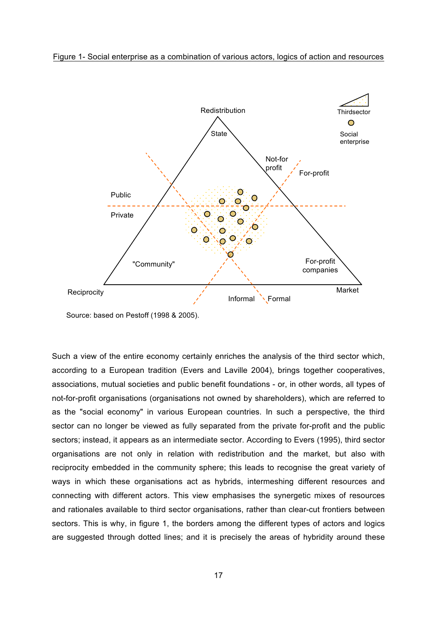Figure 1- Social enterprise as a combination of various actors, logics of action and resources



Source: based on Pestoff (1998 & 2005).

Such a view of the entire economy certainly enriches the analysis of the third sector which, according to a European tradition (Evers and Laville 2004), brings together cooperatives, associations, mutual societies and public benefit foundations - or, in other words, all types of not-for-profit organisations (organisations not owned by shareholders), which are referred to as the "social economy" in various European countries. In such a perspective, the third sector can no longer be viewed as fully separated from the private for-profit and the public sectors; instead, it appears as an intermediate sector. According to Evers (1995), third sector organisations are not only in relation with redistribution and the market, but also with reciprocity embedded in the community sphere; this leads to recognise the great variety of ways in which these organisations act as hybrids, intermeshing different resources and connecting with different actors. This view emphasises the synergetic mixes of resources and rationales available to third sector organisations, rather than clear-cut frontiers between sectors. This is why, in figure 1, the borders among the different types of actors and logics are suggested through dotted lines; and it is precisely the areas of hybridity around these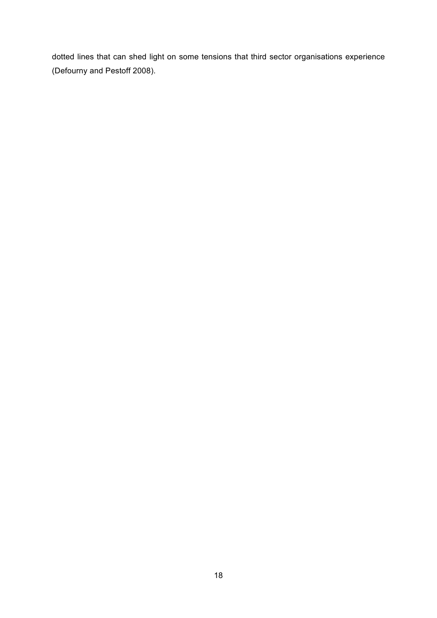dotted lines that can shed light on some tensions that third sector organisations experience (Defourny and Pestoff 2008).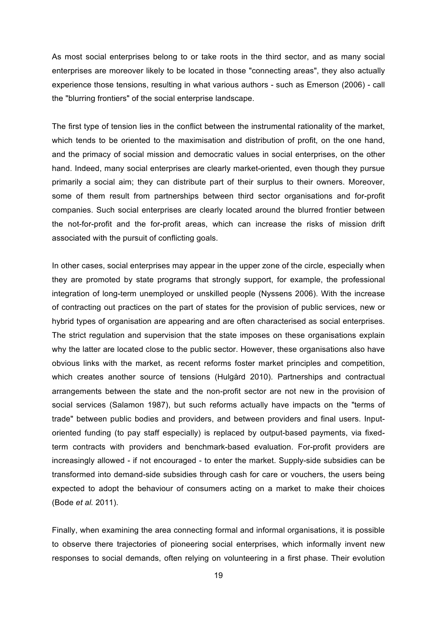As most social enterprises belong to or take roots in the third sector, and as many social enterprises are moreover likely to be located in those "connecting areas", they also actually experience those tensions, resulting in what various authors - such as Emerson (2006) - call the "blurring frontiers" of the social enterprise landscape.

The first type of tension lies in the conflict between the instrumental rationality of the market, which tends to be oriented to the maximisation and distribution of profit, on the one hand, and the primacy of social mission and democratic values in social enterprises, on the other hand. Indeed, many social enterprises are clearly market-oriented, even though they pursue primarily a social aim; they can distribute part of their surplus to their owners. Moreover, some of them result from partnerships between third sector organisations and for-profit companies. Such social enterprises are clearly located around the blurred frontier between the not-for-profit and the for-profit areas, which can increase the risks of mission drift associated with the pursuit of conflicting goals.

In other cases, social enterprises may appear in the upper zone of the circle, especially when they are promoted by state programs that strongly support, for example, the professional integration of long-term unemployed or unskilled people (Nyssens 2006). With the increase of contracting out practices on the part of states for the provision of public services, new or hybrid types of organisation are appearing and are often characterised as social enterprises. The strict regulation and supervision that the state imposes on these organisations explain why the latter are located close to the public sector. However, these organisations also have obvious links with the market, as recent reforms foster market principles and competition, which creates another source of tensions (Hulgård 2010). Partnerships and contractual arrangements between the state and the non-profit sector are not new in the provision of social services (Salamon 1987), but such reforms actually have impacts on the "terms of trade" between public bodies and providers, and between providers and final users. Inputoriented funding (to pay staff especially) is replaced by output-based payments, via fixedterm contracts with providers and benchmark-based evaluation. For-profit providers are increasingly allowed - if not encouraged - to enter the market. Supply-side subsidies can be transformed into demand-side subsidies through cash for care or vouchers, the users being expected to adopt the behaviour of consumers acting on a market to make their choices (Bode *et al.* 2011).

Finally, when examining the area connecting formal and informal organisations, it is possible to observe there trajectories of pioneering social enterprises, which informally invent new responses to social demands, often relying on volunteering in a first phase. Their evolution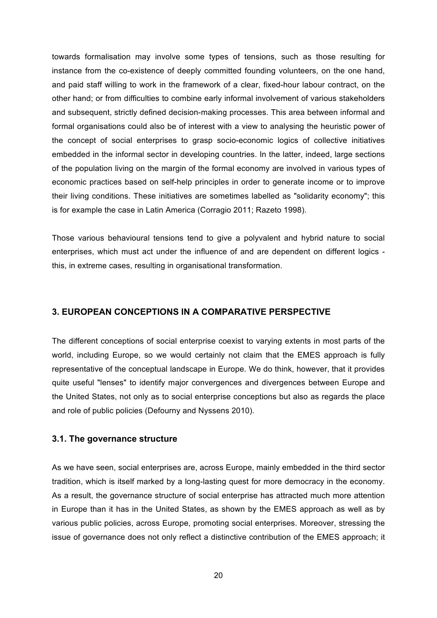towards formalisation may involve some types of tensions, such as those resulting for instance from the co-existence of deeply committed founding volunteers, on the one hand, and paid staff willing to work in the framework of a clear, fixed-hour labour contract, on the other hand; or from difficulties to combine early informal involvement of various stakeholders and subsequent, strictly defined decision-making processes. This area between informal and formal organisations could also be of interest with a view to analysing the heuristic power of the concept of social enterprises to grasp socio-economic logics of collective initiatives embedded in the informal sector in developing countries. In the latter, indeed, large sections of the population living on the margin of the formal economy are involved in various types of economic practices based on self-help principles in order to generate income or to improve their living conditions. These initiatives are sometimes labelled as "solidarity economy"; this is for example the case in Latin America (Corragio 2011; Razeto 1998).

Those various behavioural tensions tend to give a polyvalent and hybrid nature to social enterprises, which must act under the influence of and are dependent on different logics this, in extreme cases, resulting in organisational transformation.

## **3. EUROPEAN CONCEPTIONS IN A COMPARATIVE PERSPECTIVE**

The different conceptions of social enterprise coexist to varying extents in most parts of the world, including Europe, so we would certainly not claim that the EMES approach is fully representative of the conceptual landscape in Europe. We do think, however, that it provides quite useful "lenses" to identify major convergences and divergences between Europe and the United States, not only as to social enterprise conceptions but also as regards the place and role of public policies (Defourny and Nyssens 2010).

## **3.1. The governance structure**

As we have seen, social enterprises are, across Europe, mainly embedded in the third sector tradition, which is itself marked by a long-lasting quest for more democracy in the economy. As a result, the governance structure of social enterprise has attracted much more attention in Europe than it has in the United States, as shown by the EMES approach as well as by various public policies, across Europe, promoting social enterprises. Moreover, stressing the issue of governance does not only reflect a distinctive contribution of the EMES approach; it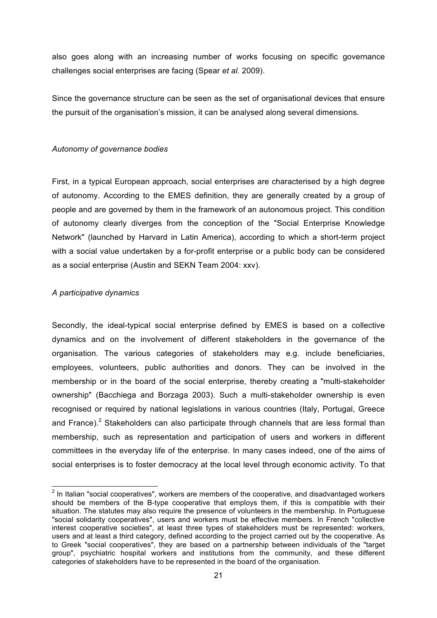also goes along with an increasing number of works focusing on specific governance challenges social enterprises are facing (Spear *et al.* 2009).

Since the governance structure can be seen as the set of organisational devices that ensure the pursuit of the organisation's mission, it can be analysed along several dimensions.

#### *Autonomy of governance bodies*

First, in a typical European approach, social enterprises are characterised by a high degree of autonomy. According to the EMES definition, they are generally created by a group of people and are governed by them in the framework of an autonomous project. This condition of autonomy clearly diverges from the conception of the "Social Enterprise Knowledge Network" (launched by Harvard in Latin America), according to which a short-term project with a social value undertaken by a for-profit enterprise or a public body can be considered as a social enterprise (Austin and SEKN Team 2004: xxv).

#### *A participative dynamics*

Secondly, the ideal-typical social enterprise defined by EMES is based on a collective dynamics and on the involvement of different stakeholders in the governance of the organisation. The various categories of stakeholders may e.g. include beneficiaries, employees, volunteers, public authorities and donors. They can be involved in the membership or in the board of the social enterprise, thereby creating a "multi-stakeholder ownership" (Bacchiega and Borzaga 2003). Such a multi-stakeholder ownership is even recognised or required by national legislations in various countries (Italy, Portugal, Greece and France).<sup>2</sup> Stakeholders can also participate through channels that are less formal than membership, such as representation and participation of users and workers in different committees in the everyday life of the enterprise. In many cases indeed, one of the aims of social enterprises is to foster democracy at the local level through economic activity. To that

 $2$  In Italian "social cooperatives", workers are members of the cooperative, and disadvantaged workers should be members of the B-type cooperative that employs them, if this is compatible with their situation. The statutes may also require the presence of volunteers in the membership. In Portuguese "social solidarity cooperatives", users and workers must be effective members. In French "collective interest cooperative societies", at least three types of stakeholders must be represented: workers, users and at least a third category, defined according to the project carried out by the cooperative. As to Greek "social cooperatives", they are based on a partnership between individuals of the "target group", psychiatric hospital workers and institutions from the community, and these different categories of stakeholders have to be represented in the board of the organisation.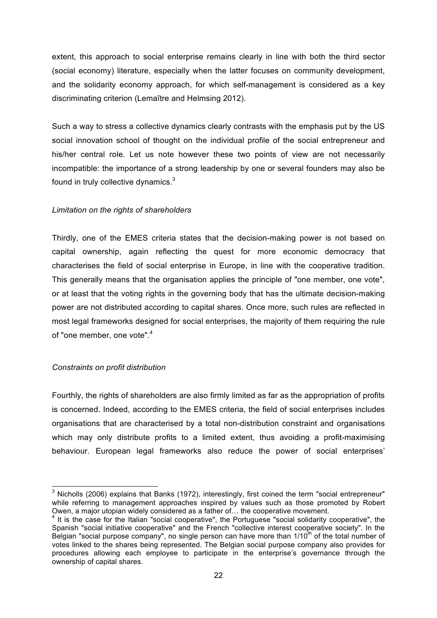extent, this approach to social enterprise remains clearly in line with both the third sector (social economy) literature, especially when the latter focuses on community development, and the solidarity economy approach, for which self-management is considered as a key discriminating criterion (Lemaître and Helmsing 2012).

Such a way to stress a collective dynamics clearly contrasts with the emphasis put by the US social innovation school of thought on the individual profile of the social entrepreneur and his/her central role. Let us note however these two points of view are not necessarily incompatible: the importance of a strong leadership by one or several founders may also be found in truly collective dynamics.<sup>3</sup>

## *Limitation on the rights of shareholders*

Thirdly, one of the EMES criteria states that the decision-making power is not based on capital ownership, again reflecting the quest for more economic democracy that characterises the field of social enterprise in Europe, in line with the cooperative tradition. This generally means that the organisation applies the principle of "one member, one vote", or at least that the voting rights in the governing body that has the ultimate decision-making power are not distributed according to capital shares. Once more, such rules are reflected in most legal frameworks designed for social enterprises, the majority of them requiring the rule of "one member, one vote".<sup>4</sup>

## *Constraints on profit distribution*

Fourthly, the rights of shareholders are also firmly limited as far as the appropriation of profits is concerned. Indeed, according to the EMES criteria, the field of social enterprises includes organisations that are characterised by a total non-distribution constraint and organisations which may only distribute profits to a limited extent, thus avoiding a profit-maximising behaviour. European legal frameworks also reduce the power of social enterprises'

 <sup>3</sup> Nicholls (2006) explains that Banks (1972), interestingly, first coined the term "social entrepreneur" while referring to management approaches inspired by values such as those promoted by Robert Owen, a major utopian widely considered as a father of… the cooperative movement.

<sup>&</sup>lt;sup>4</sup> It is the case for the Italian "social cooperative", the Portuguese "social solidarity cooperative", the Spanish "social initiative cooperative" and the French "collective interest cooperative society". In the Belgian "social purpose company", no single person can have more than  $1/10<sup>th</sup>$  of the total number of votes linked to the shares being represented. The Belgian social purpose company also provides for procedures allowing each employee to participate in the enterprise's governance through the ownership of capital shares.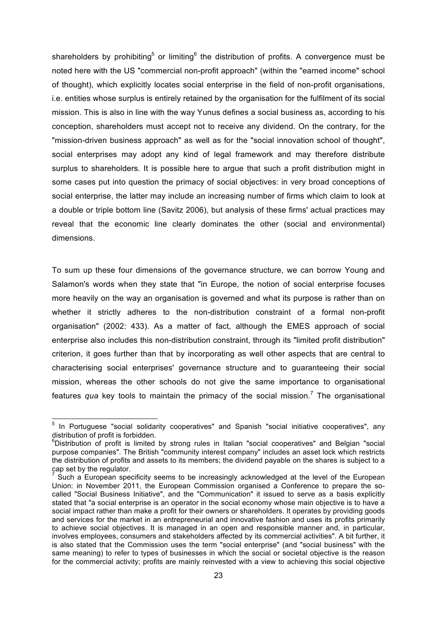shareholders by prohibiting<sup>5</sup> or limiting<sup>6</sup> the distribution of profits. A convergence must be noted here with the US "commercial non-profit approach" (within the "earned income" school of thought), which explicitly locates social enterprise in the field of non-profit organisations, i.e. entities whose surplus is entirely retained by the organisation for the fulfilment of its social mission. This is also in line with the way Yunus defines a social business as, according to his conception, shareholders must accept not to receive any dividend. On the contrary, for the "mission-driven business approach" as well as for the "social innovation school of thought", social enterprises may adopt any kind of legal framework and may therefore distribute surplus to shareholders. It is possible here to argue that such a profit distribution might in some cases put into question the primacy of social objectives: in very broad conceptions of social enterprise, the latter may include an increasing number of firms which claim to look at a double or triple bottom line (Savitz 2006), but analysis of these firms' actual practices may reveal that the economic line clearly dominates the other (social and environmental) dimensions.

To sum up these four dimensions of the governance structure, we can borrow Young and Salamon's words when they state that "in Europe, the notion of social enterprise focuses more heavily on the way an organisation is governed and what its purpose is rather than on whether it strictly adheres to the non-distribution constraint of a formal non-profit organisation" (2002: 433). As a matter of fact, although the EMES approach of social enterprise also includes this non-distribution constraint, through its "limited profit distribution" criterion, it goes further than that by incorporating as well other aspects that are central to characterising social enterprises' governance structure and to guaranteeing their social mission, whereas the other schools do not give the same importance to organisational features *qua* key tools to maintain the primacy of the social mission.<sup>7</sup> The organisational

<sup>&</sup>lt;sup>5</sup> In Portuguese "social solidarity cooperatives" and Spanish "social initiative cooperatives", any distribution of profit is forbidden.

<sup>&</sup>lt;sup>6</sup>Distribution of profit is limited by strong rules in Italian "social cooperatives" and Belgian "social purpose companies". The British "community interest company" includes an asset lock which restricts the distribution of profits and assets to its members; the dividend payable on the shares is subject to a cap set by the regulator.

Such a European specificity seems to be increasingly acknowledged at the level of the European Union: in November 2011, the European Commission organised a Conference to prepare the socalled "Social Business Initiative", and the "Communication" it issued to serve as a basis explicitly stated that "a social enterprise is an operator in the social economy whose main objective is to have a social impact rather than make a profit for their owners or shareholders. It operates by providing goods and services for the market in an entrepreneurial and innovative fashion and uses its profits primarily to achieve social objectives. It is managed in an open and responsible manner and, in particular, involves employees, consumers and stakeholders affected by its commercial activities". A bit further, it is also stated that the Commission uses the term "social enterprise" (and "social business" with the same meaning) to refer to types of businesses in which the social or societal objective is the reason for the commercial activity; profits are mainly reinvested with a view to achieving this social objective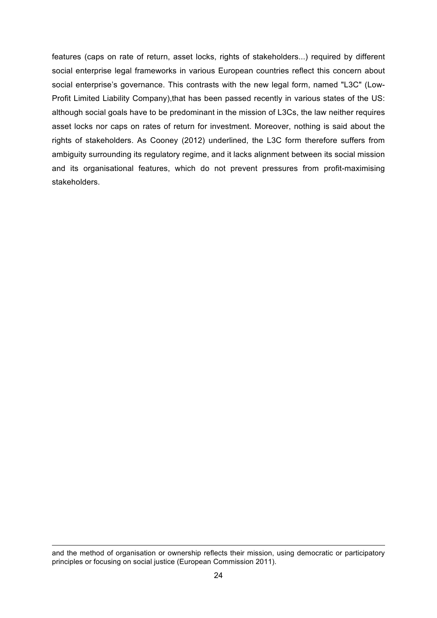features (caps on rate of return, asset locks, rights of stakeholders...) required by different social enterprise legal frameworks in various European countries reflect this concern about social enterprise's governance. This contrasts with the new legal form, named "L3C" (Low-Profit Limited Liability Company), that has been passed recently in various states of the US: although social goals have to be predominant in the mission of L3Cs, the law neither requires asset locks nor caps on rates of return for investment. Moreover, nothing is said about the rights of stakeholders. As Cooney (2012) underlined, the L3C form therefore suffers from ambiguity surrounding its regulatory regime, and it lacks alignment between its social mission and its organisational features, which do not prevent pressures from profit-maximising stakeholders.

and the method of organisation or ownership reflects their mission, using democratic or participatory principles or focusing on social justice (European Commission 2011).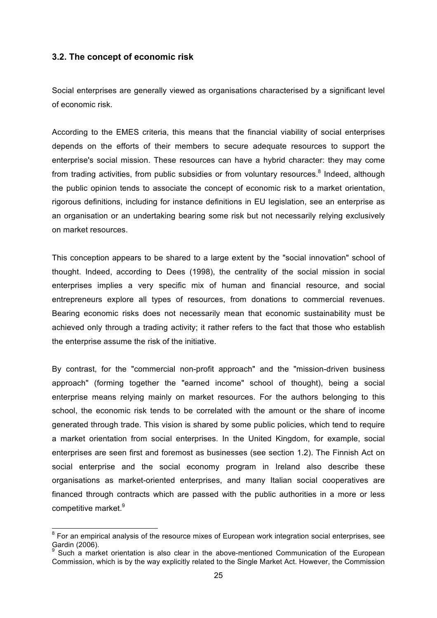#### **3.2. The concept of economic risk**

Social enterprises are generally viewed as organisations characterised by a significant level of economic risk.

According to the EMES criteria, this means that the financial viability of social enterprises depends on the efforts of their members to secure adequate resources to support the enterprise's social mission. These resources can have a hybrid character: they may come from trading activities, from public subsidies or from voluntary resources.<sup>8</sup> Indeed, although the public opinion tends to associate the concept of economic risk to a market orientation, rigorous definitions, including for instance definitions in EU legislation, see an enterprise as an organisation or an undertaking bearing some risk but not necessarily relying exclusively on market resources.

This conception appears to be shared to a large extent by the "social innovation" school of thought. Indeed, according to Dees (1998), the centrality of the social mission in social enterprises implies a very specific mix of human and financial resource, and social entrepreneurs explore all types of resources, from donations to commercial revenues. Bearing economic risks does not necessarily mean that economic sustainability must be achieved only through a trading activity; it rather refers to the fact that those who establish the enterprise assume the risk of the initiative.

By contrast, for the "commercial non-profit approach" and the "mission-driven business approach" (forming together the "earned income" school of thought), being a social enterprise means relying mainly on market resources. For the authors belonging to this school, the economic risk tends to be correlated with the amount or the share of income generated through trade. This vision is shared by some public policies, which tend to require a market orientation from social enterprises. In the United Kingdom, for example, social enterprises are seen first and foremost as businesses (see section 1.2). The Finnish Act on social enterprise and the social economy program in Ireland also describe these organisations as market-oriented enterprises, and many Italian social cooperatives are financed through contracts which are passed with the public authorities in a more or less competitive market.<sup>9</sup>

 $8$  For an empirical analysis of the resource mixes of European work integration social enterprises, see Gardin (2006).

Such a market orientation is also clear in the above-mentioned Communication of the European Commission, which is by the way explicitly related to the Single Market Act. However, the Commission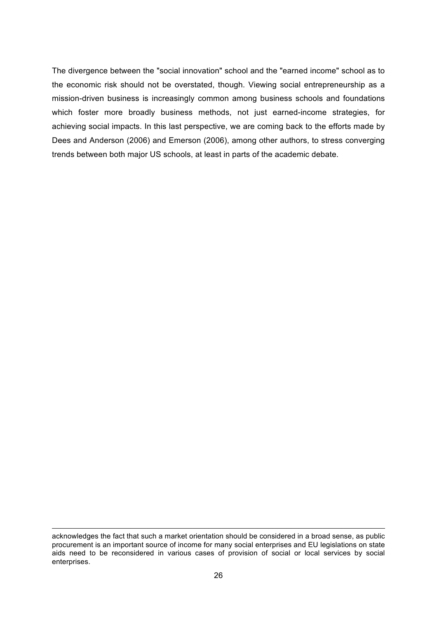The divergence between the "social innovation" school and the "earned income" school as to the economic risk should not be overstated, though. Viewing social entrepreneurship as a mission-driven business is increasingly common among business schools and foundations which foster more broadly business methods, not just earned-income strategies, for achieving social impacts. In this last perspective, we are coming back to the efforts made by Dees and Anderson (2006) and Emerson (2006), among other authors, to stress converging trends between both major US schools, at least in parts of the academic debate.

acknowledges the fact that such a market orientation should be considered in a broad sense, as public procurement is an important source of income for many social enterprises and EU legislations on state aids need to be reconsidered in various cases of provision of social or local services by social enterprises.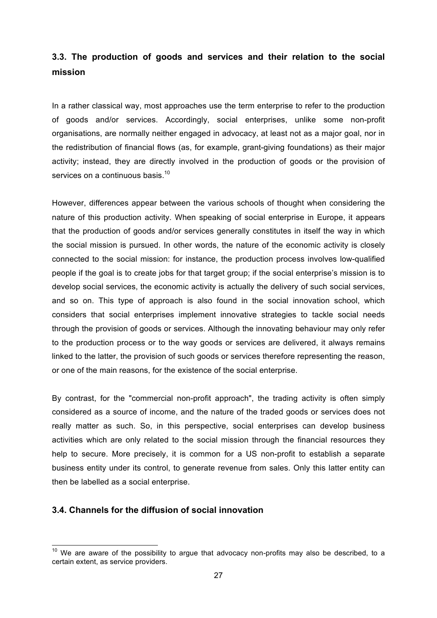# **3.3. The production of goods and services and their relation to the social mission**

In a rather classical way, most approaches use the term enterprise to refer to the production of goods and/or services. Accordingly, social enterprises, unlike some non-profit organisations, are normally neither engaged in advocacy, at least not as a major goal, nor in the redistribution of financial flows (as, for example, grant-giving foundations) as their major activity; instead, they are directly involved in the production of goods or the provision of services on a continuous basis.<sup>10</sup>

However, differences appear between the various schools of thought when considering the nature of this production activity. When speaking of social enterprise in Europe, it appears that the production of goods and/or services generally constitutes in itself the way in which the social mission is pursued. In other words, the nature of the economic activity is closely connected to the social mission: for instance, the production process involves low-qualified people if the goal is to create jobs for that target group; if the social enterprise's mission is to develop social services, the economic activity is actually the delivery of such social services, and so on. This type of approach is also found in the social innovation school, which considers that social enterprises implement innovative strategies to tackle social needs through the provision of goods or services. Although the innovating behaviour may only refer to the production process or to the way goods or services are delivered, it always remains linked to the latter, the provision of such goods or services therefore representing the reason, or one of the main reasons, for the existence of the social enterprise.

By contrast, for the "commercial non-profit approach", the trading activity is often simply considered as a source of income, and the nature of the traded goods or services does not really matter as such. So, in this perspective, social enterprises can develop business activities which are only related to the social mission through the financial resources they help to secure. More precisely, it is common for a US non-profit to establish a separate business entity under its control, to generate revenue from sales. Only this latter entity can then be labelled as a social enterprise.

## **3.4. Channels for the diffusion of social innovation**

 $10$  We are aware of the possibility to argue that advocacy non-profits may also be described, to a certain extent, as service providers.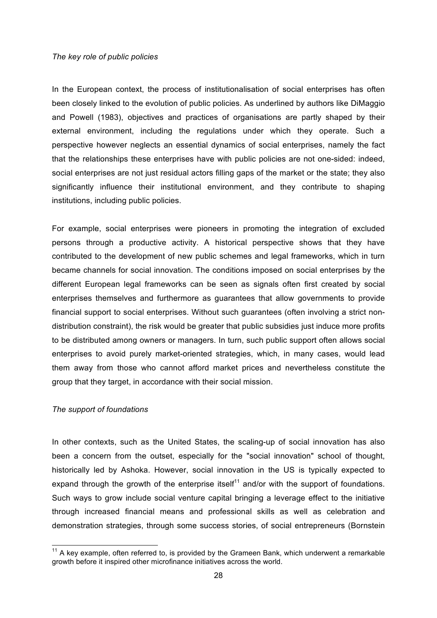#### *The key role of public policies*

In the European context, the process of institutionalisation of social enterprises has often been closely linked to the evolution of public policies. As underlined by authors like DiMaggio and Powell (1983), objectives and practices of organisations are partly shaped by their external environment, including the regulations under which they operate. Such a perspective however neglects an essential dynamics of social enterprises, namely the fact that the relationships these enterprises have with public policies are not one-sided: indeed, social enterprises are not just residual actors filling gaps of the market or the state; they also significantly influence their institutional environment, and they contribute to shaping institutions, including public policies.

For example, social enterprises were pioneers in promoting the integration of excluded persons through a productive activity. A historical perspective shows that they have contributed to the development of new public schemes and legal frameworks, which in turn became channels for social innovation. The conditions imposed on social enterprises by the different European legal frameworks can be seen as signals often first created by social enterprises themselves and furthermore as guarantees that allow governments to provide financial support to social enterprises. Without such guarantees (often involving a strict nondistribution constraint), the risk would be greater that public subsidies just induce more profits to be distributed among owners or managers. In turn, such public support often allows social enterprises to avoid purely market-oriented strategies, which, in many cases, would lead them away from those who cannot afford market prices and nevertheless constitute the group that they target, in accordance with their social mission.

#### *The support of foundations*

In other contexts, such as the United States, the scaling-up of social innovation has also been a concern from the outset, especially for the "social innovation" school of thought, historically led by Ashoka. However, social innovation in the US is typically expected to expand through the growth of the enterprise itself<sup>11</sup> and/or with the support of foundations. Such ways to grow include social venture capital bringing a leverage effect to the initiative through increased financial means and professional skills as well as celebration and demonstration strategies, through some success stories, of social entrepreneurs (Bornstein

 $11$  A key example, often referred to, is provided by the Grameen Bank, which underwent a remarkable growth before it inspired other microfinance initiatives across the world.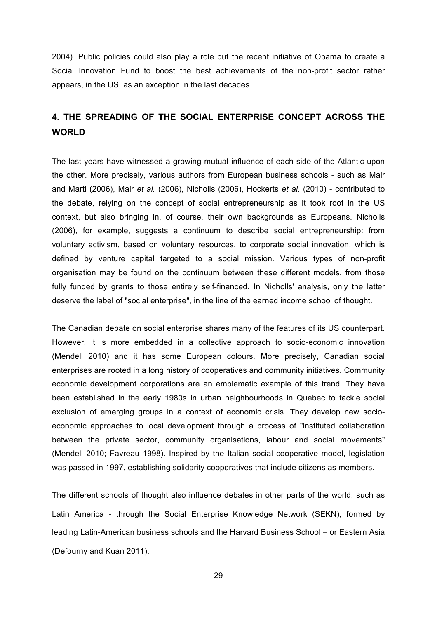2004). Public policies could also play a role but the recent initiative of Obama to create a Social Innovation Fund to boost the best achievements of the non-profit sector rather appears, in the US, as an exception in the last decades.

# **4. THE SPREADING OF THE SOCIAL ENTERPRISE CONCEPT ACROSS THE WORLD**

The last years have witnessed a growing mutual influence of each side of the Atlantic upon the other. More precisely, various authors from European business schools - such as Mair and Marti (2006), Mair *et al.* (2006), Nicholls (2006), Hockerts *et al.* (2010) - contributed to the debate, relying on the concept of social entrepreneurship as it took root in the US context, but also bringing in, of course, their own backgrounds as Europeans. Nicholls (2006), for example, suggests a continuum to describe social entrepreneurship: from voluntary activism, based on voluntary resources, to corporate social innovation, which is defined by venture capital targeted to a social mission. Various types of non-profit organisation may be found on the continuum between these different models, from those fully funded by grants to those entirely self-financed. In Nicholls' analysis, only the latter deserve the label of "social enterprise", in the line of the earned income school of thought.

The Canadian debate on social enterprise shares many of the features of its US counterpart. However, it is more embedded in a collective approach to socio-economic innovation (Mendell 2010) and it has some European colours. More precisely, Canadian social enterprises are rooted in a long history of cooperatives and community initiatives. Community economic development corporations are an emblematic example of this trend. They have been established in the early 1980s in urban neighbourhoods in Quebec to tackle social exclusion of emerging groups in a context of economic crisis. They develop new socioeconomic approaches to local development through a process of "instituted collaboration between the private sector, community organisations, labour and social movements" (Mendell 2010; Favreau 1998). Inspired by the Italian social cooperative model, legislation was passed in 1997, establishing solidarity cooperatives that include citizens as members.

The different schools of thought also influence debates in other parts of the world, such as Latin America - through the Social Enterprise Knowledge Network (SEKN), formed by leading Latin-American business schools and the Harvard Business School – or Eastern Asia (Defourny and Kuan 2011).

29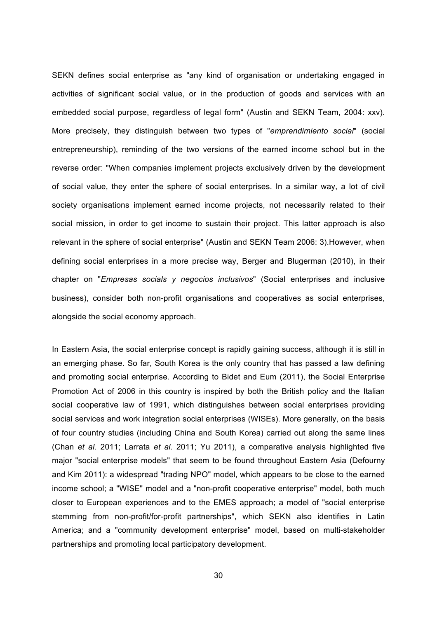SEKN defines social enterprise as "any kind of organisation or undertaking engaged in activities of significant social value, or in the production of goods and services with an embedded social purpose, regardless of legal form" (Austin and SEKN Team, 2004: xxv). More precisely, they distinguish between two types of "*emprendimiento social*" (social entrepreneurship), reminding of the two versions of the earned income school but in the reverse order: "When companies implement projects exclusively driven by the development of social value, they enter the sphere of social enterprises. In a similar way, a lot of civil society organisations implement earned income projects, not necessarily related to their social mission, in order to get income to sustain their project. This latter approach is also relevant in the sphere of social enterprise" (Austin and SEKN Team 2006: 3).However, when defining social enterprises in a more precise way, Berger and Blugerman (2010), in their chapter on "*Empresas socials y negocios inclusivos*" (Social enterprises and inclusive business), consider both non-profit organisations and cooperatives as social enterprises, alongside the social economy approach.

In Eastern Asia, the social enterprise concept is rapidly gaining success, although it is still in an emerging phase. So far, South Korea is the only country that has passed a law defining and promoting social enterprise. According to Bidet and Eum (2011), the Social Enterprise Promotion Act of 2006 in this country is inspired by both the British policy and the Italian social cooperative law of 1991, which distinguishes between social enterprises providing social services and work integration social enterprises (WISEs). More generally, on the basis of four country studies (including China and South Korea) carried out along the same lines (Chan *et al.* 2011; Larrata *et al.* 2011; Yu 2011), a comparative analysis highlighted five major "social enterprise models" that seem to be found throughout Eastern Asia (Defourny and Kim 2011): a widespread "trading NPO" model, which appears to be close to the earned income school; a "WISE" model and a "non-profit cooperative enterprise" model, both much closer to European experiences and to the EMES approach; a model of "social enterprise stemming from non-profit/for-profit partnerships", which SEKN also identifies in Latin America; and a "community development enterprise" model, based on multi-stakeholder partnerships and promoting local participatory development.

30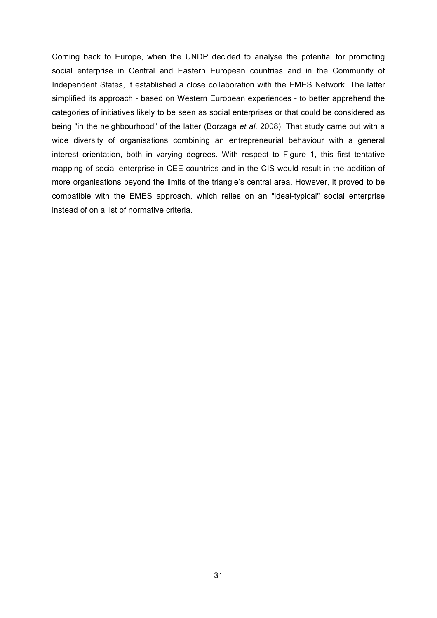Coming back to Europe, when the UNDP decided to analyse the potential for promoting social enterprise in Central and Eastern European countries and in the Community of Independent States, it established a close collaboration with the EMES Network. The latter simplified its approach - based on Western European experiences - to better apprehend the categories of initiatives likely to be seen as social enterprises or that could be considered as being "in the neighbourhood" of the latter (Borzaga *et al.* 2008). That study came out with a wide diversity of organisations combining an entrepreneurial behaviour with a general interest orientation, both in varying degrees. With respect to Figure 1, this first tentative mapping of social enterprise in CEE countries and in the CIS would result in the addition of more organisations beyond the limits of the triangle's central area. However, it proved to be compatible with the EMES approach, which relies on an "ideal-typical" social enterprise instead of on a list of normative criteria.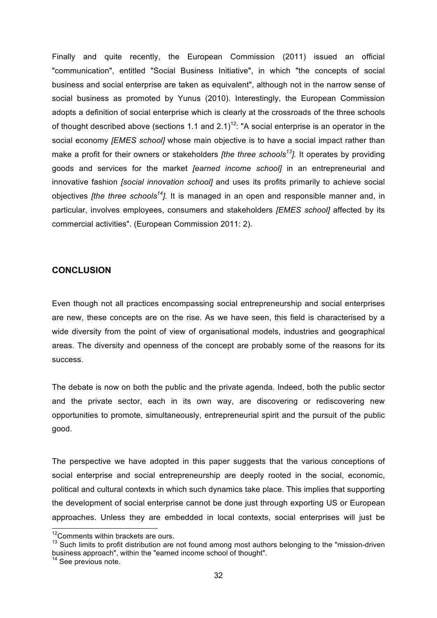Finally and quite recently, the European Commission (2011) issued an official "communication", entitled "Social Business Initiative", in which "the concepts of social business and social enterprise are taken as equivalent", although not in the narrow sense of social business as promoted by Yunus (2010). Interestingly, the European Commission adopts a definition of social enterprise which is clearly at the crossroads of the three schools of thought described above (sections 1.1 and 2.1)<sup>12</sup>: "A social enterprise is an operator in the social economy *[EMES school]* whose main objective is to have a social impact rather than make a profit for their owners or stakeholders *[the three schools13].* It operates by providing goods and services for the market *[earned income school]* in an entrepreneurial and innovative fashion *[social innovation school]* and uses its profits primarily to achieve social objectives *[the three schools14].* It is managed in an open and responsible manner and, in particular, involves employees, consumers and stakeholders *[EMES school]* affected by its commercial activities". (European Commission 2011: 2).

## **CONCLUSION**

Even though not all practices encompassing social entrepreneurship and social enterprises are new, these concepts are on the rise. As we have seen, this field is characterised by a wide diversity from the point of view of organisational models, industries and geographical areas. The diversity and openness of the concept are probably some of the reasons for its success.

The debate is now on both the public and the private agenda. Indeed, both the public sector and the private sector, each in its own way, are discovering or rediscovering new opportunities to promote, simultaneously, entrepreneurial spirit and the pursuit of the public good.

The perspective we have adopted in this paper suggests that the various conceptions of social enterprise and social entrepreneurship are deeply rooted in the social, economic, political and cultural contexts in which such dynamics take place. This implies that supporting the development of social enterprise cannot be done just through exporting US or European approaches. Unless they are embedded in local contexts, social enterprises will just be

<sup>&</sup>lt;sup>12</sup>Comments within brackets are ours.

<sup>&</sup>lt;sup>13</sup> Such limits to profit distribution are not found among most authors belonging to the "mission-driven business approach", within the "earned income school of thought".<br><sup>14</sup> See previous note.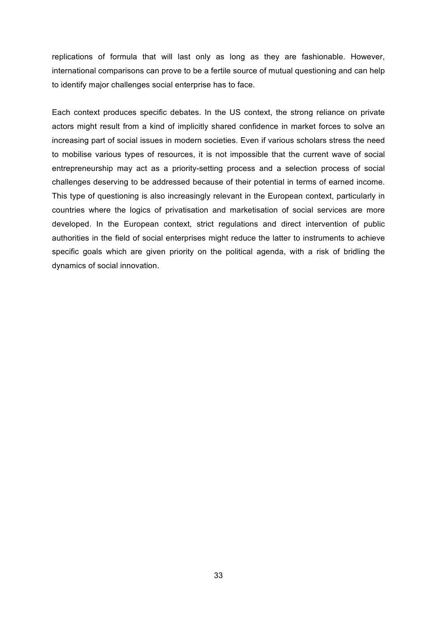replications of formula that will last only as long as they are fashionable. However, international comparisons can prove to be a fertile source of mutual questioning and can help to identify major challenges social enterprise has to face.

Each context produces specific debates. In the US context, the strong reliance on private actors might result from a kind of implicitly shared confidence in market forces to solve an increasing part of social issues in modern societies. Even if various scholars stress the need to mobilise various types of resources, it is not impossible that the current wave of social entrepreneurship may act as a priority-setting process and a selection process of social challenges deserving to be addressed because of their potential in terms of earned income. This type of questioning is also increasingly relevant in the European context, particularly in countries where the logics of privatisation and marketisation of social services are more developed. In the European context, strict regulations and direct intervention of public authorities in the field of social enterprises might reduce the latter to instruments to achieve specific goals which are given priority on the political agenda, with a risk of bridling the dynamics of social innovation.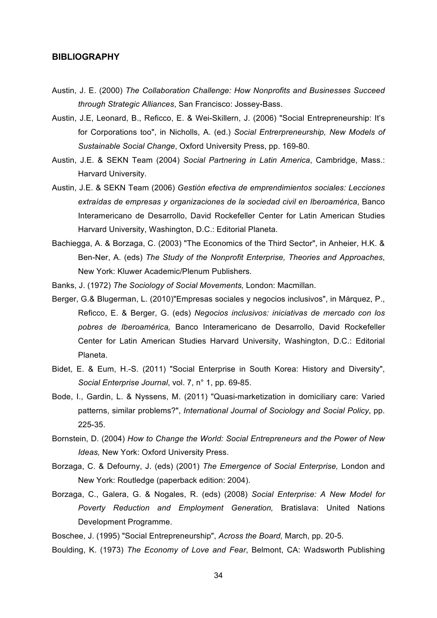#### **BIBLIOGRAPHY**

- Austin, J. E. (2000) *The Collaboration Challenge: How Nonprofits and Businesses Succeed through Strategic Alliances*, San Francisco: Jossey-Bass.
- Austin, J.E, Leonard, B., Reficco, E. & Wei-Skillern, J. (2006) "Social Entrepreneurship: It's for Corporations too", in Nicholls, A. (ed.) *Social Entrerpreneurship, New Models of Sustainable Social Change*, Oxford University Press, pp. 169-80.
- Austin, J.E. & SEKN Team (2004) *Social Partnering in Latin America*, Cambridge, Mass.: Harvard University.
- Austin, J.E. & SEKN Team (2006) *Gestión efectiva de emprendimientos sociales: Lecciones extraídas de empresas y organizaciones de la sociedad civil en Iberoamérica*, Banco Interamericano de Desarrollo, David Rockefeller Center for Latin American Studies Harvard University, Washington, D.C.: Editorial Planeta.
- Bachiegga, A. & Borzaga, C. (2003) "The Economics of the Third Sector", in Anheier, H.K. & Ben-Ner, A. (eds) *The Study of the Nonprofit Enterprise, Theories and Approaches*, New York: Kluwer Academic/Plenum Publishers.
- Banks, J. (1972) *The Sociology of Social Movements,* London: Macmillan.
- Berger, G.& Blugerman, L. (2010)"Empresas sociales y negocios inclusivos", in Márquez, P., Reficco, E. & Berger, G. (eds) *Negocios inclusivos: iniciativas de mercado con los pobres de Iberoamérica,* Banco Interamericano de Desarrollo, David Rockefeller Center for Latin American Studies Harvard University, Washington, D.C.: Editorial Planeta.
- Bidet, E. & Eum, H.-S. (2011) "Social Enterprise in South Korea: History and Diversity", *Social Enterprise Journal*, vol. 7, n° 1, pp. 69-85.
- Bode, I., Gardin, L. & Nyssens, M. (2011) "Quasi-marketization in domiciliary care: Varied patterns, similar problems?", *International Journal of Sociology and Social Policy*, pp. 225-35.
- Bornstein, D. (2004) *How to Change the World: Social Entrepreneurs and the Power of New Ideas,* New York: Oxford University Press.
- Borzaga, C. & Defourny, J. (eds) (2001) *The Emergence of Social Enterprise,* London and New York: Routledge (paperback edition: 2004).
- Borzaga, C., Galera, G. & Nogales, R. (eds) (2008) *Social Enterprise: A New Model for Poverty Reduction and Employment Generation,* Bratislava: United Nations Development Programme.

Boschee, J. (1995) "Social Entrepreneurship", *Across the Board,* March, pp. 20-5.

Boulding, K. (1973) *The Economy of Love and Fear*, Belmont, CA: Wadsworth Publishing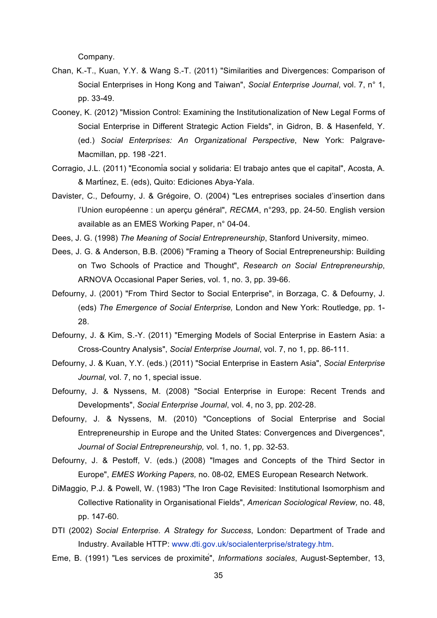Company.

- Chan, K.-T., Kuan, Y.Y. & Wang S.-T. (2011) "Similarities and Divergences: Comparison of Social Enterprises in Hong Kong and Taiwan", *Social Enterprise Journal*, vol. 7, n° 1, pp. 33-49.
- Cooney, K. (2012) "Mission Control: Examining the Institutionalization of New Legal Forms of Social Enterprise in Different Strategic Action Fields", in Gidron, B. & Hasenfeld, Y. (ed.) *Social Enterprises: An Organizational Perspective*, New York: Palgrave-Macmillan, pp. 198 -221.
- Corragio, J.L. (2011) "Economía social y solidaria: El trabajo antes que el capital", Acosta, A. & Martínez, E. (eds), Quito: Ediciones Abya-Yala.
- Davister, C., Defourny, J. & Grégoire, O. (2004) "Les entreprises sociales d'insertion dans l'Union européenne : un aperçu général", *RECMA*, n°293, pp. 24-50. English version available as an EMES Working Paper, n° 04-04.
- Dees, J. G. (1998) *The Meaning of Social Entrepreneurship*, Stanford University, mimeo.
- Dees, J. G. & Anderson, B.B. (2006) "Framing a Theory of Social Entrepreneurship: Building on Two Schools of Practice and Thought", *Research on Social Entrepreneurship*, ARNOVA Occasional Paper Series, vol. 1, no. 3, pp. 39-66.
- Defourny, J. (2001) "From Third Sector to Social Enterprise", in Borzaga, C. & Defourny, J. (eds) *The Emergence of Social Enterprise,* London and New York: Routledge, pp. 1- 28.
- Defourny, J. & Kim, S.-Y. (2011) "Emerging Models of Social Enterprise in Eastern Asia: a Cross-Country Analysis", *Social Enterprise Journal*, vol. 7, no 1, pp. 86-111.
- Defourny, J. & Kuan, Y.Y. (eds.) (2011) "Social Enterprise in Eastern Asia", *Social Enterprise Journal,* vol. 7, no 1, special issue.
- Defourny, J. & Nyssens, M. (2008) "Social Enterprise in Europe: Recent Trends and Developments", *Social Enterprise Journal*, vol. 4, no 3, pp. 202-28.
- Defourny, J. & Nyssens, M. (2010) "Conceptions of Social Enterprise and Social Entrepreneurship in Europe and the United States: Convergences and Divergences", *Journal of Social Entrepreneurship,* vol. 1, no. 1, pp. 32-53.
- Defourny, J. & Pestoff, V. (eds.) (2008) "Images and Concepts of the Third Sector in Europe", *EMES Working Papers,* no. 08-02*,* EMES European Research Network.
- DiMaggio, P.J. & Powell, W. (1983) "The Iron Cage Revisited: Institutional Isomorphism and Collective Rationality in Organisational Fields", *American Sociological Review,* no. 48, pp. 147-60.
- DTI (2002) *Social Enterprise. A Strategy for Success*, London: Department of Trade and Industry. Available HTTP: www.dti.gov.uk/socialenterprise/strategy.htm.
- Eme, B. (1991) "Les services de proximité", *Informations sociales*, August-September, 13,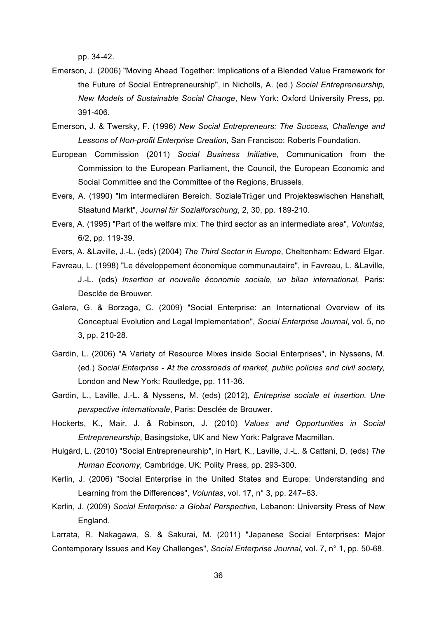pp. 34-42.

- Emerson, J. (2006) "Moving Ahead Together: Implications of a Blended Value Framework for the Future of Social Entrepreneurship", in Nicholls, A. (ed.) *Social Entrepreneurship, New Models of Sustainable Social Change*, New York: Oxford University Press, pp. 391-406.
- Emerson, J. & Twersky, F. (1996) *New Social Entrepreneurs: The Success, Challenge and Lessons of Non-profit Enterprise Creation,* San Francisco: Roberts Foundation.
- European Commission (2011) *Social Business Initiative*, Communication from the Commission to the European Parliament, the Council, the European Economic and Social Committee and the Committee of the Regions, Brussels.
- Evers, A. (1990) "Im intermediären Bereich. SozialeTräger und Projekteswischen Hanshalt, Staatund Markt", *Journal für Sozialforschung*, 2, 30, pp. 189-210.
- Evers, A. (1995) "Part of the welfare mix: The third sector as an intermediate area", *Voluntas*, 6/2, pp. 119-39.
- Evers, A. &Laville, J.-L. (eds) (2004) *The Third Sector in Europe*, Cheltenham: Edward Elgar.
- Favreau, L. (1998) "Le développement économique communautaire", in Favreau, L. &Laville, J.-L. (eds) *Insertion et nouvelle économie sociale, un bilan international,* Paris: Desclée de Brouwer.
- Galera, G. & Borzaga, C. (2009) "Social Enterprise: an International Overview of its Conceptual Evolution and Legal Implementation", *Social Enterprise Journal*, vol. 5, no 3, pp. 210-28.
- Gardin, L. (2006) "A Variety of Resource Mixes inside Social Enterprises", in Nyssens, M. (ed.) *Social Enterprise - At the crossroads of market, public policies and civil society,* London and New York: Routledge, pp. 111-36.
- Gardin, L., Laville, J.-L. & Nyssens, M. (eds) (2012), *Entreprise sociale et insertion. Une perspective internationale*, Paris: Desclée de Brouwer.
- Hockerts, K., Mair, J. & Robinson, J. (2010) *Values and Opportunities in Social Entrepreneurship*, Basingstoke, UK and New York: Palgrave Macmillan.
- Hulgård, L. (2010) "Social Entrepreneurship", in Hart, K., Laville, J.-L. & Cattani, D. (eds) *The Human Economy,* Cambridge, UK: Polity Press, pp. 293-300.
- Kerlin, J. (2006) "Social Enterprise in the United States and Europe: Understanding and Learning from the Differences", *Voluntas*, vol. 17, n° 3, pp. 247–63.
- Kerlin, J. (2009) *Social Enterprise: a Global Perspective,* Lebanon: University Press of New England.

Larrata, R. Nakagawa, S. & Sakurai, M. (2011) "Japanese Social Enterprises: Major Contemporary Issues and Key Challenges", *Social Enterprise Journal*, vol. 7, n° 1, pp. 50-68.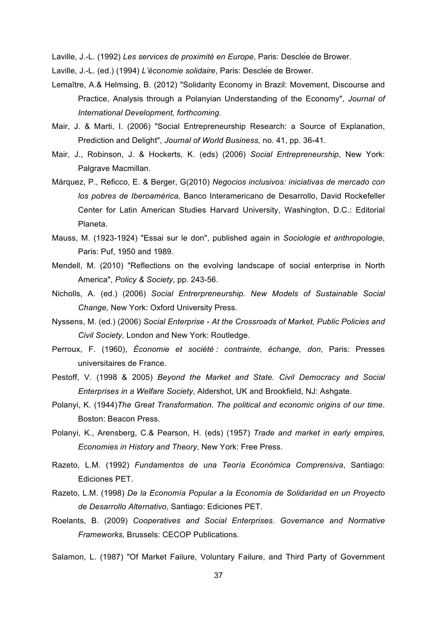Laville, J.-L. (1992) Les services de proximité en Europe, Paris: Desclee de Brower.

Laville, J.-L. (ed.) (1994) *L'économie solidaire*, Paris: Desclée de Brower.

- Lemaître, A.& Helmsing, B. (2012) "Solidarity Economy in Brazil: Movement, Discourse and Practice, Analysis through a Polanyian Understanding of the Economy", *Journal of International Development, forthcoming.*
- Mair, J. & Marti, I. (2006) "Social Entrepreneurship Research: a Source of Explanation, Prediction and Delight", *Journal of World Business,* no. 41, pp. 36-41.
- Mair, J., Robinson, J. & Hockerts, K. (eds) (2006) *Social Entrepreneurship*, New York: Palgrave Macmillan.
- Márquez, P., Reficco, E. & Berger, G(2010) *Negocios inclusivos: iniciativas de mercado con los pobres de Iberoamérica,* Banco Interamericano de Desarrollo, David Rockefeller Center for Latin American Studies Harvard University, Washington, D.C.: Editorial Planeta.
- Mauss, M. (1923-1924) "Essai sur le don", published again in *Sociologie et anthropologie*, Paris: Puf, 1950 and 1989.
- Mendell, M. (2010) "Reflections on the evolving landscape of social enterprise in North America", *Policy & Society*, pp. 243-56.
- Nicholls, A. (ed.) (2006) *Social Entrerpreneurship. New Models of Sustainable Social Change,* New York: Oxford University Press.
- Nyssens, M. (ed.) (2006) *Social Enterprise - At the Crossroads of Market, Public Policies and Civil Society,* London and New York: Routledge.
- Perroux, F. (1960), *Économie et société : contrainte, échange, don*, Paris: Presses universitaires de France.

Pestoff, V. (1998 & 2005) *Beyond the Market and State. Civil Democracy and Social Enterprises in a Welfare Society*, Aldershot, UK and Brookfield, NJ: Ashgate.

- Polanyi, K. (1944)*The Great Transformation. The political and economic origins of our time*. Boston: Beacon Press.
- Polanyi, K., Arensberg, C.& Pearson, H. (eds) (1957) *Trade and market in early empires, Economies in History and Theory*, New York: Free Press.
- Razeto, L.M. (1992) *Fundamentos de una Teoría Económica Comprensiva*, Santiago: Ediciones PET.
- Razeto, L.M. (1998) *De la Economía Popular a la Economía de Solidaridad en un Proyecto de Desarrollo Alternativo*, Santiago: Ediciones PET.
- Roelants, B. (2009) *Cooperatives and Social Enterprises. Governance and Normative Frameworks,* Brussels: CECOP Publications.
- Salamon, L. (1987) "Of Market Failure, Voluntary Failure, and Third Party of Government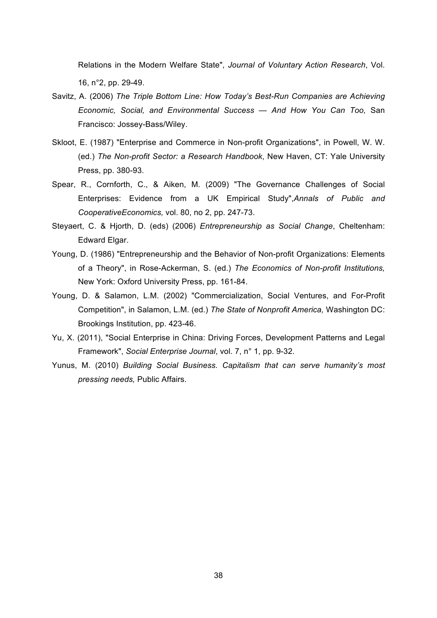Relations in the Modern Welfare State", *Journal of Voluntary Action Research*, Vol. 16, n°2, pp. 29-49.

- Savitz, A. (2006) *The Triple Bottom Line: How Today's Best-Run Companies are Achieving Economic, Social, and Environmental Success — And How You Can Too,* San Francisco: Jossey-Bass/Wiley.
- Skloot, E. (1987) "Enterprise and Commerce in Non-profit Organizations", in Powell, W. W. (ed.) *The Non-profit Sector: a Research Handbook*, New Haven, CT: Yale University Press, pp. 380-93.
- Spear, R., Cornforth, C., & Aiken, M. (2009) "The Governance Challenges of Social Enterprises: Evidence from a UK Empirical Study",*Annals of Public and CooperativeEconomics,* vol. 80, no 2, pp. 247-73.
- Steyaert, C. & Hjorth, D. (eds) (2006) *Entrepreneurship as Social Change*, Cheltenham: Edward Elgar.
- Young, D. (1986) "Entrepreneurship and the Behavior of Non-profit Organizations: Elements of a Theory", in Rose-Ackerman, S. (ed.) *The Economics of Non-profit Institutions,*  New York: Oxford University Press, pp. 161-84.
- Young, D. & Salamon, L.M. (2002) "Commercialization, Social Ventures, and For-Profit Competition", in Salamon, L.M. (ed.) *The State of Nonprofit America,* Washington DC: Brookings Institution, pp. 423-46.
- Yu, X. (2011), "Social Enterprise in China: Driving Forces, Development Patterns and Legal Framework", *Social Enterprise Journal*, vol. 7, n° 1, pp. 9-32.
- Yunus, M. (2010) *Building Social Business. Capitalism that can serve humanity's most pressing needs,* Public Affairs.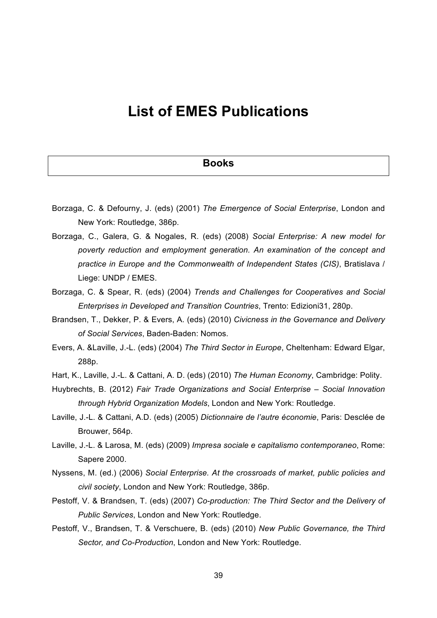# **List of EMES Publications**

## **Books**

- Borzaga, C. & Defourny, J. (eds) (2001) *The Emergence of Social Enterprise*, London and New York: Routledge, 386p.
- Borzaga, C., Galera, G. & Nogales, R. (eds) (2008) *Social Enterprise: A new model for poverty reduction and employment generation. An examination of the concept and practice in Europe and the Commonwealth of Independent States (CIS)*, Bratislava / Liege: UNDP / EMES.
- Borzaga, C. & Spear, R. (eds) (2004) *Trends and Challenges for Cooperatives and Social Enterprises in Developed and Transition Countries*, Trento: Edizioni31, 280p.
- Brandsen, T., Dekker, P. & Evers, A. (eds) (2010) *Civicness in the Governance and Delivery of Social Services*, Baden-Baden: Nomos.
- Evers, A. &Laville, J.-L. (eds) (2004) *The Third Sector in Europe*, Cheltenham: Edward Elgar, 288p.
- Hart, K., Laville, J.-L. & Cattani, A. D. (eds) (2010) *The Human Economy*, Cambridge: Polity.
- Huybrechts, B. (2012) *Fair Trade Organizations and Social Enterprise – Social Innovation through Hybrid Organization Models*, London and New York: Routledge.
- Laville, J.-L. & Cattani, A.D. (eds) (2005) *Dictionnaire de l'autre économie*, Paris: Desclée de Brouwer, 564p.
- Laville, J.-L. & Larosa, M. (eds) (2009) *Impresa sociale e capitalismo contemporaneo*, Rome: Sapere 2000.
- Nyssens, M. (ed.) (2006) *Social Enterprise. At the crossroads of market, public policies and civil society*, London and New York: Routledge, 386p.
- Pestoff, V. & Brandsen, T. (eds) (2007) *Co-production: The Third Sector and the Delivery of Public Services*, London and New York: Routledge.
- Pestoff, V., Brandsen, T. & Verschuere, B. (eds) (2010) *New Public Governance, the Third Sector, and Co-Production*, London and New York: Routledge.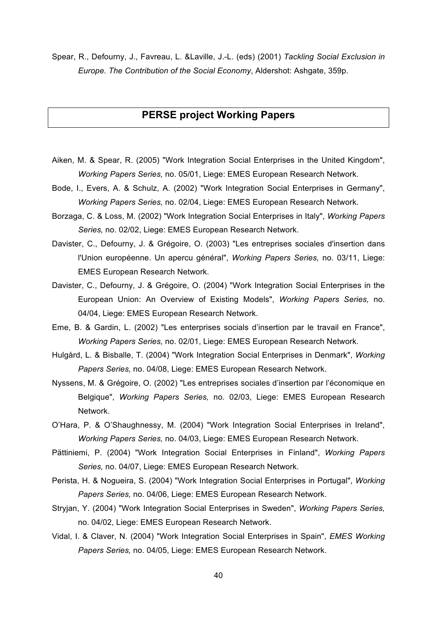Spear, R., Defourny, J., Favreau, L. &Laville, J.-L. (eds) (2001) *Tackling Social Exclusion in Europe. The Contribution of the Social Economy*, Aldershot: Ashgate, 359p.

# **PERSE project Working Papers**

- Aiken, M. & Spear, R. (2005) "Work Integration Social Enterprises in the United Kingdom", *Working Papers Series,* no. 05/01, Liege: EMES European Research Network.
- Bode, I., Evers, A. & Schulz, A. (2002) "Work Integration Social Enterprises in Germany", *Working Papers Series,* no. 02/04, Liege: EMES European Research Network.
- Borzaga, C. & Loss, M. (2002) "Work Integration Social Enterprises in Italy", *Working Papers Series,* no. 02/02, Liege: EMES European Research Network.
- Davister, C., Defourny, J. & Grégoire, O. (2003) "Les entreprises sociales d'insertion dans l'Union européenne. Un apercu général", *Working Papers Series,* no. 03/11, Liege: EMES European Research Network.
- Davister, C., Defourny, J. & Grégoire, O. (2004) "Work Integration Social Enterprises in the European Union: An Overview of Existing Models", *Working Papers Series,* no. 04/04, Liege: EMES European Research Network.
- Eme, B. & Gardin, L. (2002) "Les enterprises socials d'insertion par le travail en France", *Working Papers Series,* no. 02/01, Liege: EMES European Research Network.
- Hulgård, L. & Bisballe, T. (2004) "Work Integration Social Enterprises in Denmark", *Working Papers Series,* no. 04/08, Liege: EMES European Research Network.
- Nyssens, M. & Grégoire, O. (2002) "Les entreprises sociales d'insertion par l'économique en Belgique", *Working Papers Series,* no. 02/03, Liege: EMES European Research Network.
- O'Hara, P. & O'Shaughnessy, M. (2004) "Work Integration Social Enterprises in Ireland", *Working Papers Series,* no. 04/03, Liege: EMES European Research Network.
- Pättiniemi, P. (2004) "Work Integration Social Enterprises in Finland", *Working Papers Series,* no. 04/07, Liege: EMES European Research Network.
- Perista, H. & Nogueira, S. (2004) "Work Integration Social Enterprises in Portugal", *Working Papers Series,* no. 04/06, Liege: EMES European Research Network.
- Stryjan, Y. (2004) "Work Integration Social Enterprises in Sweden", *Working Papers Series,*  no. 04/02, Liege: EMES European Research Network.
- Vidal, I. & Claver, N. (2004) "Work Integration Social Enterprises in Spain", *EMES Working Papers Series,* no. 04/05, Liege: EMES European Research Network.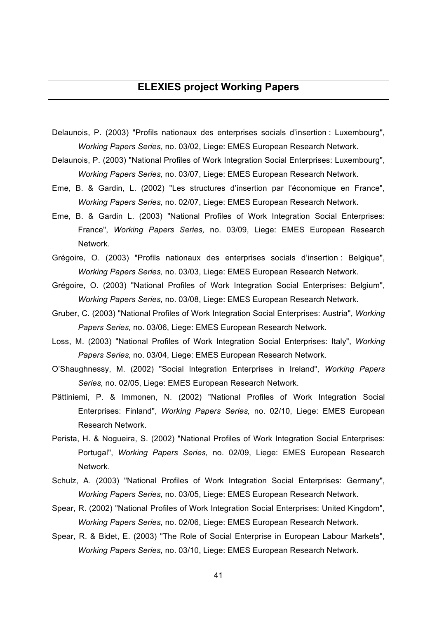# **ELEXIES project Working Papers**

- Delaunois, P. (2003) "Profils nationaux des enterprises socials d'insertion : Luxembourg", *Working Papers Series*, no. 03/02, Liege: EMES European Research Network.
- Delaunois, P. (2003) "National Profiles of Work Integration Social Enterprises: Luxembourg", *Working Papers Series,* no. 03/07, Liege: EMES European Research Network.
- Eme, B. & Gardin, L. (2002) "Les structures d'insertion par l'économique en France", *Working Papers Series,* no. 02/07, Liege: EMES European Research Network.
- Eme, B. & Gardin L. (2003) "National Profiles of Work Integration Social Enterprises: France", *Working Papers Series,* no. 03/09, Liege: EMES European Research Network.
- Grégoire, O. (2003) "Profils nationaux des enterprises socials d'insertion : Belgique", *Working Papers Series,* no. 03/03, Liege: EMES European Research Network.
- Grégoire, O. (2003) "National Profiles of Work Integration Social Enterprises: Belgium", *Working Papers Series,* no. 03/08, Liege: EMES European Research Network.
- Gruber, C. (2003) "National Profiles of Work Integration Social Enterprises: Austria", *Working Papers Series,* no. 03/06, Liege: EMES European Research Network.
- Loss, M. (2003) "National Profiles of Work Integration Social Enterprises: Italy", *Working Papers Series,* no. 03/04, Liege: EMES European Research Network.
- O'Shaughnessy, M. (2002) "Social Integration Enterprises in Ireland", *Working Papers Series,* no. 02/05, Liege: EMES European Research Network.
- Pättiniemi, P. & Immonen, N. (2002) "National Profiles of Work Integration Social Enterprises: Finland", *Working Papers Series,* no. 02/10, Liege: EMES European Research Network.
- Perista, H. & Nogueira, S. (2002) "National Profiles of Work Integration Social Enterprises: Portugal", *Working Papers Series,* no. 02/09, Liege: EMES European Research Network.
- Schulz, A. (2003) "National Profiles of Work Integration Social Enterprises: Germany", *Working Papers Series,* no. 03/05, Liege: EMES European Research Network.
- Spear, R. (2002) "National Profiles of Work Integration Social Enterprises: United Kingdom", *Working Papers Series,* no. 02/06, Liege: EMES European Research Network.
- Spear, R. & Bidet, E. (2003) "The Role of Social Enterprise in European Labour Markets", *Working Papers Series,* no. 03/10, Liege: EMES European Research Network.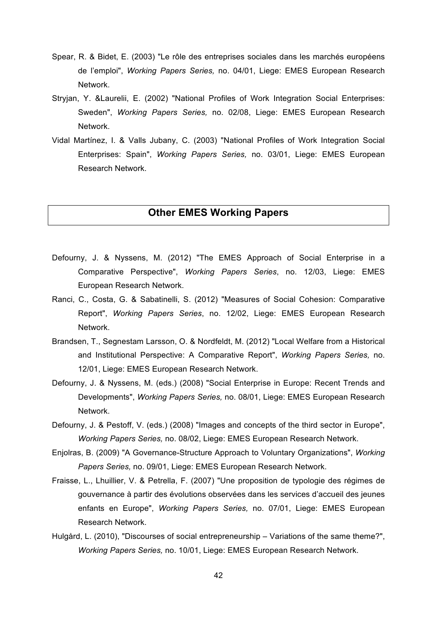- Spear, R. & Bidet, E. (2003) "Le rôle des entreprises sociales dans les marchés européens de l'emploi", *Working Papers Series,* no. 04/01, Liege: EMES European Research Network.
- Stryjan, Y. &Laurelii, E. (2002) "National Profiles of Work Integration Social Enterprises: Sweden", *Working Papers Series,* no. 02/08, Liege: EMES European Research Network.
- Vidal Martínez, I. & Valls Jubany, C. (2003) "National Profiles of Work Integration Social Enterprises: Spain", *Working Papers Series,* no. 03/01, Liege: EMES European Research Network.

## **Other EMES Working Papers**

- Defourny, J. & Nyssens, M. (2012) "The EMES Approach of Social Enterprise in a Comparative Perspective", *Working Papers Series*, no. 12/03, Liege: EMES European Research Network.
- Ranci, C., Costa, G. & Sabatinelli, S. (2012) "Measures of Social Cohesion: Comparative Report", *Working Papers Series*, no. 12/02, Liege: EMES European Research Network.
- Brandsen, T., Segnestam Larsson, O. & Nordfeldt, M. (2012) "Local Welfare from a Historical and Institutional Perspective: A Comparative Report", *Working Papers Series,* no. 12/01, Liege: EMES European Research Network.
- Defourny, J. & Nyssens, M. (eds.) (2008) "Social Enterprise in Europe: Recent Trends and Developments", *Working Papers Series,* no. 08/01, Liege: EMES European Research Network.
- Defourny, J. & Pestoff, V. (eds.) (2008) "Images and concepts of the third sector in Europe", *Working Papers Series,* no. 08/02, Liege: EMES European Research Network.
- Enjolras, B. (2009) "A Governance-Structure Approach to Voluntary Organizations", *Working Papers Series,* no. 09/01, Liege: EMES European Research Network.
- Fraisse, L., Lhuillier, V. & Petrella, F. (2007) "Une proposition de typologie des régimes de gouvernance à partir des évolutions observées dans les services d'accueil des jeunes enfants en Europe", *Working Papers Series,* no. 07/01, Liege: EMES European Research Network.
- Hulgård, L. (2010), "Discourses of social entrepreneurship Variations of the same theme?", *Working Papers Series,* no. 10/01, Liege: EMES European Research Network.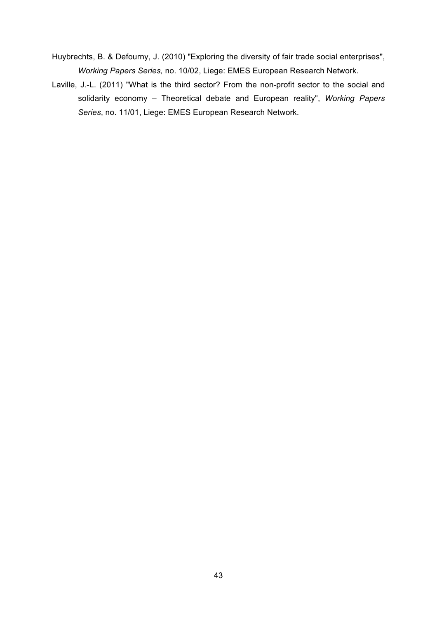- Huybrechts, B. & Defourny, J. (2010) "Exploring the diversity of fair trade social enterprises", *Working Papers Series,* no. 10/02, Liege: EMES European Research Network.
- Laville, J.-L. (2011) "What is the third sector? From the non-profit sector to the social and solidarity economy – Theoretical debate and European reality", *Working Papers Series*, no. 11/01, Liege: EMES European Research Network.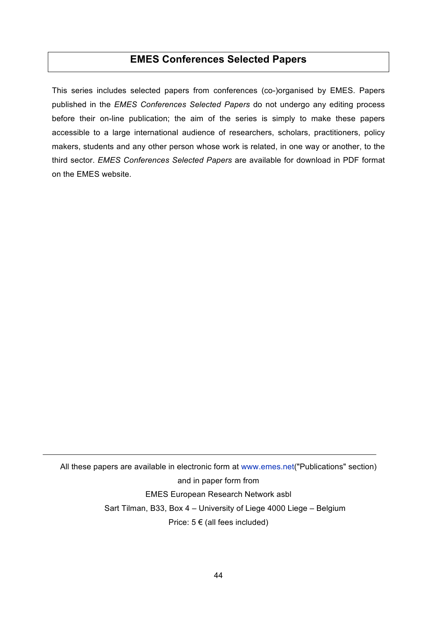# **EMES Conferences Selected Papers**

This series includes selected papers from conferences (co-)organised by EMES. Papers published in the *EMES Conferences Selected Papers* do not undergo any editing process before their on-line publication; the aim of the series is simply to make these papers accessible to a large international audience of researchers, scholars, practitioners, policy makers, students and any other person whose work is related, in one way or another, to the third sector. *EMES Conferences Selected Papers* are available for download in PDF format on the EMES website.

All these papers are available in electronic form at www.emes.net("Publications" section) and in paper form from EMES European Research Network asbl Sart Tilman, B33, Box 4 – University of Liege 4000 Liege – Belgium Price:  $5 \notin (all \text{ fees included})$